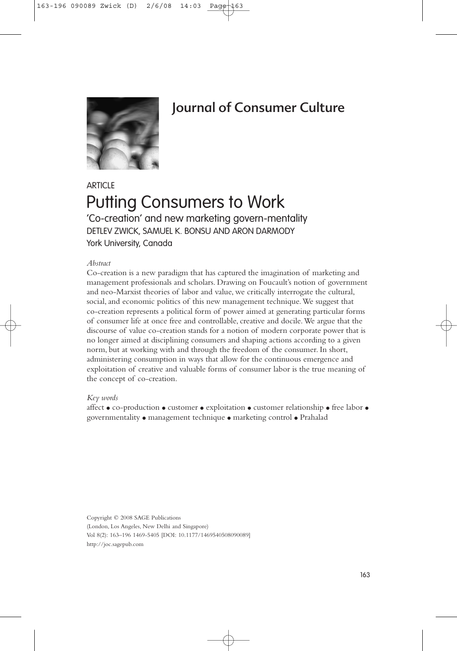

# Journal of Consumer Culture

## **ARTICLE** Putting Consumers to Work 'Co-creation' and new marketing govern-mentality DETLEV ZWICK, SAMUEL K. BONSU AND ARON DARMODY York University, Canada

#### *Abstract*

Co-creation is a new paradigm that has captured the imagination of marketing and management professionals and scholars. Drawing on Foucault's notion of government and neo-Marxist theories of labor and value, we critically interrogate the cultural, social, and economic politics of this new management technique.We suggest that co-creation represents a political form of power aimed at generating particular forms of consumer life at once free and controllable, creative and docile.We argue that the discourse of value co-creation stands for a notion of modern corporate power that is no longer aimed at disciplining consumers and shaping actions according to a given norm, but at working with and through the freedom of the consumer. In short, administering consumption in ways that allow for the continuous emergence and exploitation of creative and valuable forms of consumer labor is the true meaning of the concept of co-creation.

#### *Key words*

affect ● co-production ● customer ● exploitation ● customer relationship ● free labor ● governmentality ● management technique ● marketing control ● Prahalad

Copyright © 2008 SAGE Publications (London, Los Angeles, New Delhi and Singapore) Vol 8(2): 163–196 1469-5405 [DOI: 10.1177/1469540508090089] http://joc.sagepub.com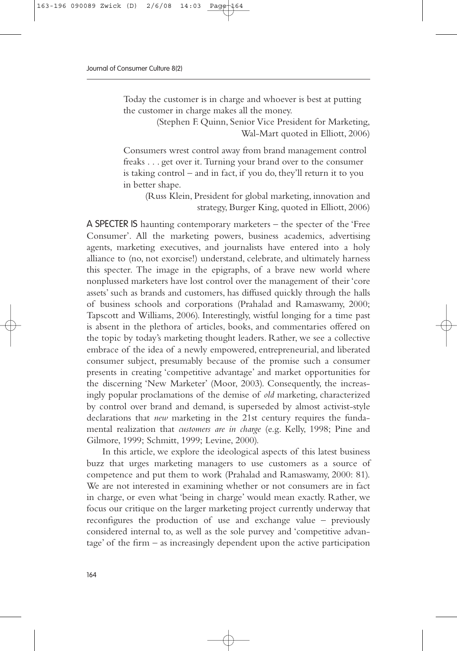Today the customer is in charge and whoever is best at putting the customer in charge makes all the money.

> (Stephen F. Quinn, Senior Vice President for Marketing, Wal-Mart quoted in Elliott, 2006)

Consumers wrest control away from brand management control freaks . . . get over it. Turning your brand over to the consumer is taking control – and in fact, if you do, they'll return it to you in better shape.

(Russ Klein, President for global marketing, innovation and strategy, Burger King, quoted in Elliott, 2006)

A SPECTER IS haunting contemporary marketers – the specter of the 'Free Consumer'. All the marketing powers, business academics, advertising agents, marketing executives, and journalists have entered into a holy alliance to (no, not exorcise!) understand, celebrate, and ultimately harness this specter. The image in the epigraphs, of a brave new world where nonplussed marketers have lost control over the management of their 'core assets' such as brands and customers, has diffused quickly through the halls of business schools and corporations (Prahalad and Ramaswamy, 2000; Tapscott and Williams, 2006). Interestingly, wistful longing for a time past is absent in the plethora of articles, books, and commentaries offered on the topic by today's marketing thought leaders. Rather, we see a collective embrace of the idea of a newly empowered, entrepreneurial, and liberated consumer subject, presumably because of the promise such a consumer presents in creating 'competitive advantage' and market opportunities for the discerning 'New Marketer' (Moor, 2003). Consequently, the increasingly popular proclamations of the demise of *old* marketing, characterized by control over brand and demand, is superseded by almost activist-style declarations that *new* marketing in the 21st century requires the fundamental realization that *customers are in charge* (e.g. Kelly, 1998; Pine and Gilmore, 1999; Schmitt, 1999; Levine, 2000).

In this article, we explore the ideological aspects of this latest business buzz that urges marketing managers to use customers as a source of competence and put them to work (Prahalad and Ramaswamy, 2000: 81). We are not interested in examining whether or not consumers are in fact in charge, or even what 'being in charge' would mean exactly. Rather, we focus our critique on the larger marketing project currently underway that reconfigures the production of use and exchange value – previously considered internal to, as well as the sole purvey and 'competitive advantage' of the firm – as increasingly dependent upon the active participation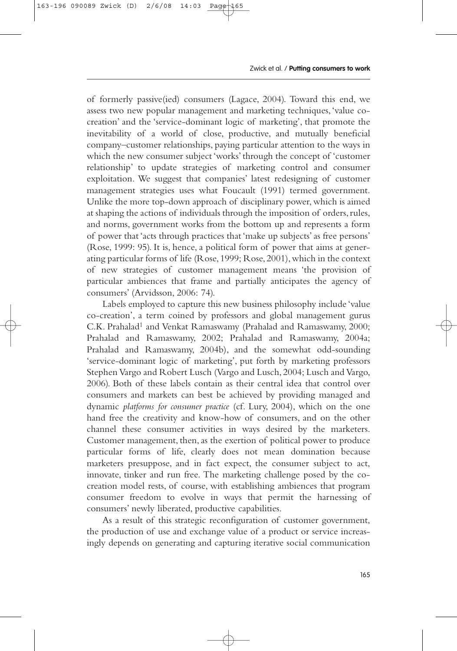of formerly passive(ied) consumers (Lagace, 2004). Toward this end, we assess two new popular management and marketing techniques,'value cocreation' and the 'service-dominant logic of marketing', that promote the inevitability of a world of close, productive, and mutually beneficial company–customer relationships, paying particular attention to the ways in which the new consumer subject 'works' through the concept of 'customer relationship' to update strategies of marketing control and consumer exploitation. We suggest that companies' latest redesigning of customer management strategies uses what Foucault (1991) termed government. Unlike the more top-down approach of disciplinary power, which is aimed at shaping the actions of individuals through the imposition of orders,rules, and norms, government works from the bottom up and represents a form of power that 'acts through practices that 'make up subjects' as free persons' (Rose, 1999: 95). It is, hence, a political form of power that aims at generating particular forms of life (Rose,1999; Rose,2001),which in the context of new strategies of customer management means 'the provision of particular ambiences that frame and partially anticipates the agency of consumers' (Arvidsson, 2006: 74).

Labels employed to capture this new business philosophy include 'value co-creation', a term coined by professors and global management gurus C.K. Prahalad<sup>1</sup> and Venkat Ramaswamy (Prahalad and Ramaswamy, 2000; Prahalad and Ramaswamy, 2002; Prahalad and Ramaswamy, 2004a; Prahalad and Ramaswamy, 2004b), and the somewhat odd-sounding 'service-dominant logic of marketing', put forth by marketing professors Stephen Vargo and Robert Lusch (Vargo and Lusch,2004; Lusch and Vargo, 2006). Both of these labels contain as their central idea that control over consumers and markets can best be achieved by providing managed and dynamic *platforms for consumer practice* (cf. Lury, 2004), which on the one hand free the creativity and know-how of consumers, and on the other channel these consumer activities in ways desired by the marketers. Customer management, then, as the exertion of political power to produce particular forms of life, clearly does not mean domination because marketers presuppose, and in fact expect, the consumer subject to act, innovate, tinker and run free. The marketing challenge posed by the cocreation model rests, of course, with establishing ambiences that program consumer freedom to evolve in ways that permit the harnessing of consumers' newly liberated, productive capabilities.

As a result of this strategic reconfiguration of customer government, the production of use and exchange value of a product or service increasingly depends on generating and capturing iterative social communication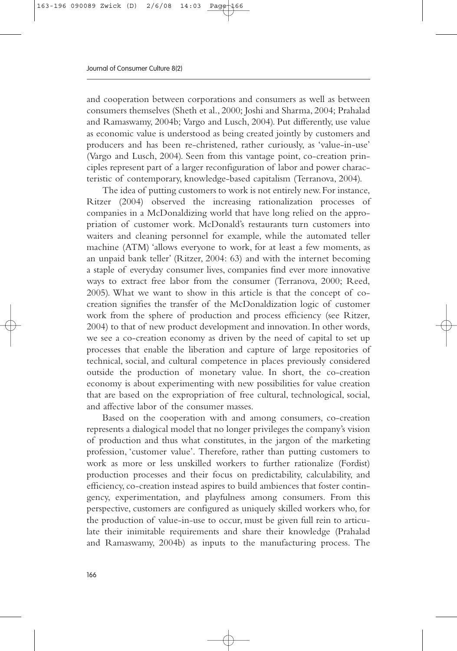and cooperation between corporations and consumers as well as between consumers themselves (Sheth et al., 2000; Joshi and Sharma, 2004; Prahalad and Ramaswamy, 2004b; Vargo and Lusch, 2004). Put differently, use value as economic value is understood as being created jointly by customers and producers and has been re-christened, rather curiously, as 'value-in-use' (Vargo and Lusch, 2004). Seen from this vantage point, co-creation principles represent part of a larger reconfiguration of labor and power characteristic of contemporary, knowledge-based capitalism (Terranova, 2004).

The idea of putting customers to work is not entirely new.For instance, Ritzer (2004) observed the increasing rationalization processes of companies in a McDonaldizing world that have long relied on the appropriation of customer work. McDonald's restaurants turn customers into waiters and cleaning personnel for example, while the automated teller machine (ATM) 'allows everyone to work, for at least a few moments, as an unpaid bank teller' (Ritzer, 2004: 63) and with the internet becoming a staple of everyday consumer lives, companies find ever more innovative ways to extract free labor from the consumer (Terranova, 2000; Reed, 2005). What we want to show in this article is that the concept of cocreation signifies the transfer of the McDonaldization logic of customer work from the sphere of production and process efficiency (see Ritzer, 2004) to that of new product development and innovation. In other words, we see a co-creation economy as driven by the need of capital to set up processes that enable the liberation and capture of large repositories of technical, social, and cultural competence in places previously considered outside the production of monetary value. In short, the co-creation economy is about experimenting with new possibilities for value creation that are based on the expropriation of free cultural, technological, social, and affective labor of the consumer masses.

Based on the cooperation with and among consumers, co-creation represents a dialogical model that no longer privileges the company's vision of production and thus what constitutes, in the jargon of the marketing profession, 'customer value'. Therefore, rather than putting customers to work as more or less unskilled workers to further rationalize (Fordist) production processes and their focus on predictability, calculability, and efficiency, co-creation instead aspires to build ambiences that foster contingency, experimentation, and playfulness among consumers. From this perspective, customers are configured as uniquely skilled workers who, for the production of value-in-use to occur, must be given full rein to articulate their inimitable requirements and share their knowledge (Prahalad and Ramaswamy, 2004b) as inputs to the manufacturing process. The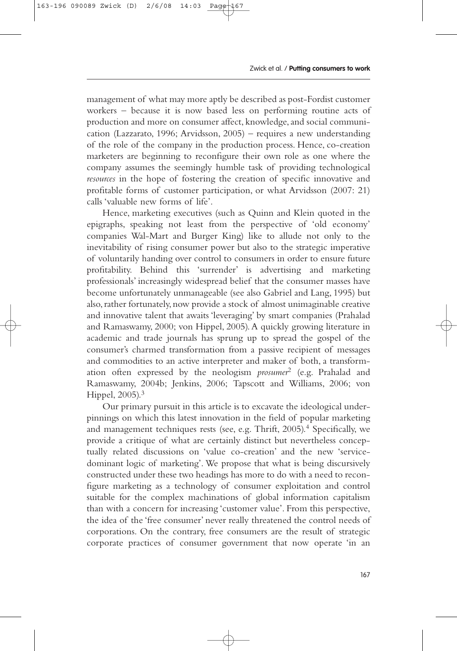management of what may more aptly be described as post-Fordist customer workers – because it is now based less on performing routine acts of production and more on consumer affect, knowledge, and social communication (Lazzarato, 1996; Arvidsson, 2005) – requires a new understanding of the role of the company in the production process. Hence, co-creation marketers are beginning to reconfigure their own role as one where the company assumes the seemingly humble task of providing technological *resources* in the hope of fostering the creation of specific innovative and profitable forms of customer participation, or what Arvidsson (2007: 21) calls 'valuable new forms of life'.

Hence, marketing executives (such as Quinn and Klein quoted in the epigraphs, speaking not least from the perspective of 'old economy' companies Wal-Mart and Burger King) like to allude not only to the inevitability of rising consumer power but also to the strategic imperative of voluntarily handing over control to consumers in order to ensure future profitability. Behind this 'surrender' is advertising and marketing professionals' increasingly widespread belief that the consumer masses have become unfortunately unmanageable (see also Gabriel and Lang, 1995) but also, rather fortunately, now provide a stock of almost unimaginable creative and innovative talent that awaits 'leveraging' by smart companies (Prahalad and Ramaswamy, 2000; von Hippel, 2005). A quickly growing literature in academic and trade journals has sprung up to spread the gospel of the consumer's charmed transformation from a passive recipient of messages and commodities to an active interpreter and maker of both, a transformation often expressed by the neologism *prosumer*<sup>2</sup> (e.g. Prahalad and Ramaswamy, 2004b; Jenkins, 2006; Tapscott and Williams, 2006; von Hippel, 2005).3

Our primary pursuit in this article is to excavate the ideological underpinnings on which this latest innovation in the field of popular marketing and management techniques rests (see, e.g. Thrift, 2005).<sup>4</sup> Specifically, we provide a critique of what are certainly distinct but nevertheless conceptually related discussions on 'value co-creation' and the new 'servicedominant logic of marketing'. We propose that what is being discursively constructed under these two headings has more to do with a need to reconfigure marketing as a technology of consumer exploitation and control suitable for the complex machinations of global information capitalism than with a concern for increasing 'customer value'. From this perspective, the idea of the 'free consumer' never really threatened the control needs of corporations. On the contrary, free consumers are the result of strategic corporate practices of consumer government that now operate 'in an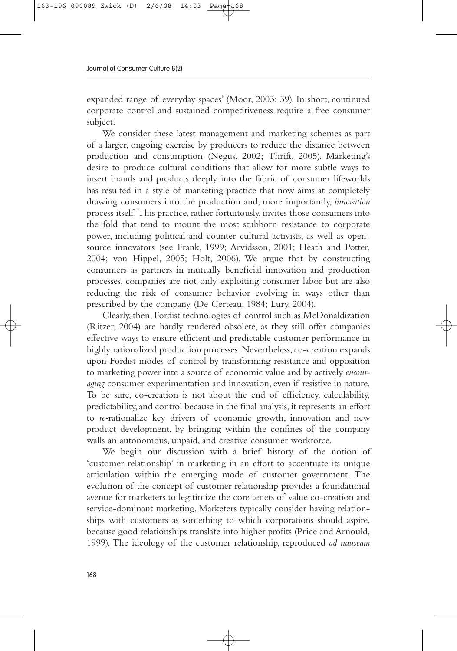expanded range of everyday spaces' (Moor, 2003: 39). In short, continued corporate control and sustained competitiveness require a free consumer subject.

We consider these latest management and marketing schemes as part of a larger, ongoing exercise by producers to reduce the distance between production and consumption (Negus, 2002; Thrift, 2005). Marketing's desire to produce cultural conditions that allow for more subtle ways to insert brands and products deeply into the fabric of consumer lifeworlds has resulted in a style of marketing practice that now aims at completely drawing consumers into the production and, more importantly, *innovation* process itself. This practice, rather fortuitously, invites those consumers into the fold that tend to mount the most stubborn resistance to corporate power, including political and counter-cultural activists, as well as opensource innovators (see Frank, 1999; Arvidsson, 2001; Heath and Potter, 2004; von Hippel, 2005; Holt, 2006). We argue that by constructing consumers as partners in mutually beneficial innovation and production processes, companies are not only exploiting consumer labor but are also reducing the risk of consumer behavior evolving in ways other than prescribed by the company (De Certeau, 1984; Lury, 2004).

Clearly, then, Fordist technologies of control such as McDonaldization (Ritzer, 2004) are hardly rendered obsolete, as they still offer companies effective ways to ensure efficient and predictable customer performance in highly rationalized production processes. Nevertheless, co-creation expands upon Fordist modes of control by transforming resistance and opposition to marketing power into a source of economic value and by actively *encouraging* consumer experimentation and innovation, even if resistive in nature. To be sure, co-creation is not about the end of efficiency, calculability, predictability, and control because in the final analysis, it represents an effort to *re-*rationalize key drivers of economic growth, innovation and new product development, by bringing within the confines of the company walls an autonomous, unpaid, and creative consumer workforce.

We begin our discussion with a brief history of the notion of 'customer relationship' in marketing in an effort to accentuate its unique articulation within the emerging mode of customer government. The evolution of the concept of customer relationship provides a foundational avenue for marketers to legitimize the core tenets of value co-creation and service-dominant marketing. Marketers typically consider having relationships with customers as something to which corporations should aspire, because good relationships translate into higher profits (Price and Arnould, 1999). The ideology of the customer relationship, reproduced *ad nauseam*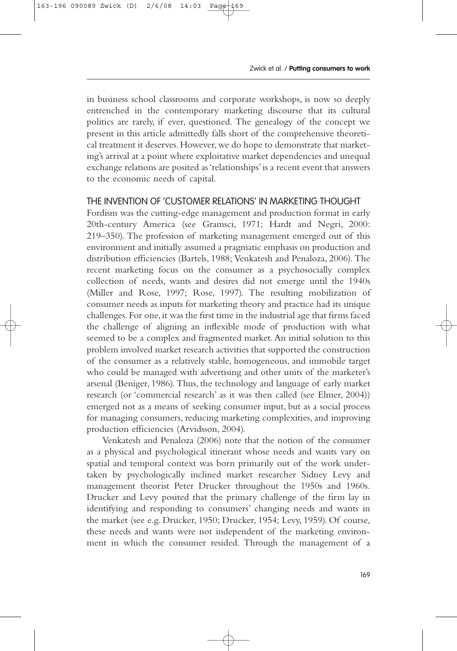in business school classrooms and corporate workshops, is now so deeply entrenched in the contemporary marketing discourse that its cultural politics are rarely, if ever, questioned. The genealogy of the concept we present in this article admittedly falls short of the comprehensive theoretical treatment it deserves.However,we do hope to demonstrate that marketing's arrival at a point where exploitative market dependencies and unequal exchange relations are posited as 'relationships' is a recent event that answers to the economic needs of capital.

### THE INVENTION OF 'CUSTOMER RELATIONS' IN MARKETING THOUGHT

Fordism was the cutting-edge management and production format in early 20th-century America (see Gramsci, 1971; Hardt and Negri, 2000: 219–350). The profession of marketing management emerged out of this environment and initially assumed a pragmatic emphasis on production and distribution efficiencies (Bartels, 1988; Venkatesh and Penaloza, 2006). The recent marketing focus on the consumer as a psychosocially complex collection of needs, wants and desires did not emerge until the 1940s (Miller and Rose, 1997; Rose, 1997). The resulting mobilization of consumer needs as inputs for marketing theory and practice had its unique challenges.For one,it was the first time in the industrial age that firms faced the challenge of aligning an inflexible mode of production with what seemed to be a complex and fragmented market. An initial solution to this problem involved market research activities that supported the construction of the consumer as a relatively stable, homogeneous, and immobile target who could be managed with advertising and other units of the marketer's arsenal (Beniger, 1986). Thus, the technology and language of early market research (or 'commercial research' as it was then called (see Elmer, 2004)) emerged not as a means of seeking consumer input, but as a social process for managing consumers, reducing marketing complexities, and improving production efficiencies (Arvidsson, 2004).

Venkatesh and Penaloza (2006) note that the notion of the consumer as a physical and psychological itinerant whose needs and wants vary on spatial and temporal context was born primarily out of the work undertaken by psychologically inclined market researcher Sidney Levy and management theorist Peter Drucker throughout the 1950s and 1960s. Drucker and Levy posited that the primary challenge of the firm lay in identifying and responding to consumers' changing needs and wants in the market (see e.g. Drucker, 1950; Drucker, 1954; Levy, 1959). Of course, these needs and wants were not independent of the marketing environment in which the consumer resided. Through the management of a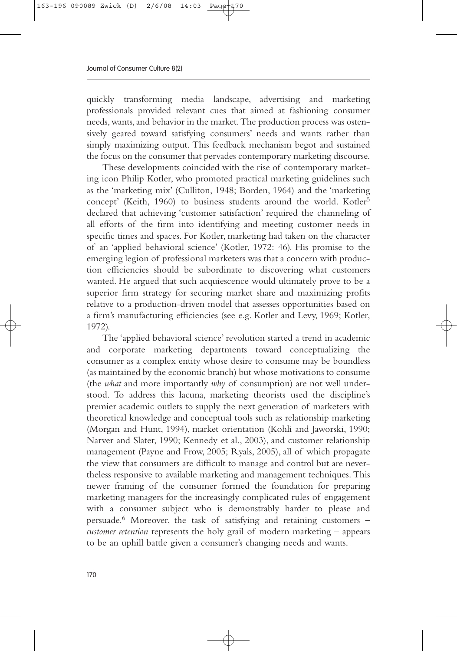quickly transforming media landscape, advertising and marketing professionals provided relevant cues that aimed at fashioning consumer needs,wants,and behavior in the market.The production process was ostensively geared toward satisfying consumers' needs and wants rather than simply maximizing output. This feedback mechanism begot and sustained the focus on the consumer that pervades contemporary marketing discourse.

These developments coincided with the rise of contemporary marketing icon Philip Kotler, who promoted practical marketing guidelines such as the 'marketing mix' (Culliton, 1948; Borden, 1964) and the 'marketing concept' (Keith, 1960) to business students around the world. Kotler<sup>5</sup> declared that achieving 'customer satisfaction' required the channeling of all efforts of the firm into identifying and meeting customer needs in specific times and spaces. For Kotler, marketing had taken on the character of an 'applied behavioral science' (Kotler, 1972: 46). His promise to the emerging legion of professional marketers was that a concern with production efficiencies should be subordinate to discovering what customers wanted. He argued that such acquiescence would ultimately prove to be a superior firm strategy for securing market share and maximizing profits relative to a production-driven model that assesses opportunities based on a firm's manufacturing efficiencies (see e.g. Kotler and Levy, 1969; Kotler, 1972).

The 'applied behavioral science' revolution started a trend in academic and corporate marketing departments toward conceptualizing the consumer as a complex entity whose desire to consume may be boundless (as maintained by the economic branch) but whose motivations to consume (the *what* and more importantly *why* of consumption) are not well understood. To address this lacuna, marketing theorists used the discipline's premier academic outlets to supply the next generation of marketers with theoretical knowledge and conceptual tools such as relationship marketing (Morgan and Hunt, 1994), market orientation (Kohli and Jaworski, 1990; Narver and Slater, 1990; Kennedy et al., 2003), and customer relationship management (Payne and Frow, 2005; Ryals, 2005), all of which propagate the view that consumers are difficult to manage and control but are nevertheless responsive to available marketing and management techniques. This newer framing of the consumer formed the foundation for preparing marketing managers for the increasingly complicated rules of engagement with a consumer subject who is demonstrably harder to please and persuade.6 Moreover, the task of satisfying and retaining customers – *customer retention* represents the holy grail of modern marketing – appears to be an uphill battle given a consumer's changing needs and wants.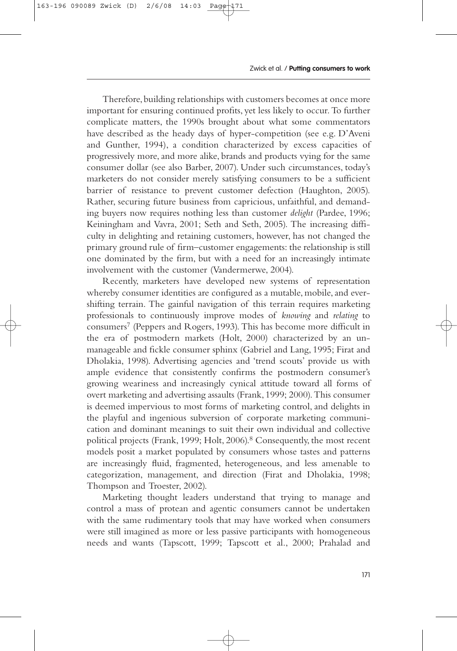Therefore,building relationships with customers becomes at once more important for ensuring continued profits, yet less likely to occur. To further complicate matters, the 1990s brought about what some commentators have described as the heady days of hyper-competition (see e.g. D'Aveni and Gunther, 1994), a condition characterized by excess capacities of progressively more, and more alike, brands and products vying for the same consumer dollar (see also Barber, 2007). Under such circumstances, today's marketers do not consider merely satisfying consumers to be a sufficient barrier of resistance to prevent customer defection (Haughton, 2005). Rather, securing future business from capricious, unfaithful, and demanding buyers now requires nothing less than customer *delight* (Pardee, 1996; Keiningham and Vavra, 2001; Seth and Seth, 2005). The increasing difficulty in delighting and retaining customers, however, has not changed the primary ground rule of firm–customer engagements: the relationship is still one dominated by the firm, but with a need for an increasingly intimate involvement with the customer (Vandermerwe, 2004).

Recently, marketers have developed new systems of representation whereby consumer identities are configured as a mutable, mobile, and evershifting terrain. The gainful navigation of this terrain requires marketing professionals to continuously improve modes of *knowing* and *relating* to consumers7 (Peppers and Rogers, 1993). This has become more difficult in the era of postmodern markets (Holt, 2000) characterized by an unmanageable and fickle consumer sphinx (Gabriel and Lang, 1995; Firat and Dholakia, 1998). Advertising agencies and 'trend scouts' provide us with ample evidence that consistently confirms the postmodern consumer's growing weariness and increasingly cynical attitude toward all forms of overt marketing and advertising assaults (Frank, 1999; 2000). This consumer is deemed impervious to most forms of marketing control, and delights in the playful and ingenious subversion of corporate marketing communication and dominant meanings to suit their own individual and collective political projects (Frank, 1999; Holt, 2006).8 Consequently, the most recent models posit a market populated by consumers whose tastes and patterns are increasingly fluid, fragmented, heterogeneous, and less amenable to categorization, management, and direction (Firat and Dholakia, 1998; Thompson and Troester, 2002).

Marketing thought leaders understand that trying to manage and control a mass of protean and agentic consumers cannot be undertaken with the same rudimentary tools that may have worked when consumers were still imagined as more or less passive participants with homogeneous needs and wants (Tapscott, 1999; Tapscott et al., 2000; Prahalad and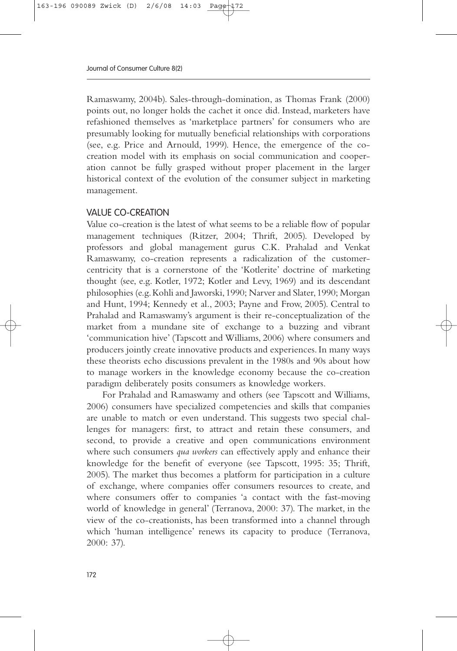Ramaswamy, 2004b). Sales-through-domination, as Thomas Frank (2000) points out, no longer holds the cachet it once did. Instead, marketers have refashioned themselves as 'marketplace partners' for consumers who are presumably looking for mutually beneficial relationships with corporations (see, e.g. Price and Arnould, 1999). Hence, the emergence of the cocreation model with its emphasis on social communication and cooperation cannot be fully grasped without proper placement in the larger historical context of the evolution of the consumer subject in marketing management.

## VALUE CO-CREATION

Value co-creation is the latest of what seems to be a reliable flow of popular management techniques (Ritzer, 2004; Thrift, 2005). Developed by professors and global management gurus C.K. Prahalad and Venkat Ramaswamy, co-creation represents a radicalization of the customercentricity that is a cornerstone of the 'Kotlerite' doctrine of marketing thought (see, e.g. Kotler, 1972; Kotler and Levy, 1969) and its descendant philosophies (e.g.Kohli and Jaworski,1990; Narver and Slater,1990; Morgan and Hunt, 1994; Kennedy et al., 2003; Payne and Frow, 2005). Central to Prahalad and Ramaswamy's argument is their re-conceptualization of the market from a mundane site of exchange to a buzzing and vibrant 'communication hive' (Tapscott and Williams, 2006) where consumers and producers jointly create innovative products and experiences. In many ways these theorists echo discussions prevalent in the 1980s and 90s about how to manage workers in the knowledge economy because the co-creation paradigm deliberately posits consumers as knowledge workers.

For Prahalad and Ramaswamy and others (see Tapscott and Williams, 2006) consumers have specialized competencies and skills that companies are unable to match or even understand. This suggests two special challenges for managers: first, to attract and retain these consumers, and second, to provide a creative and open communications environment where such consumers *qua workers* can effectively apply and enhance their knowledge for the benefit of everyone (see Tapscott, 1995: 35; Thrift, 2005). The market thus becomes a platform for participation in a culture of exchange, where companies offer consumers resources to create, and where consumers offer to companies 'a contact with the fast-moving world of knowledge in general' (Terranova, 2000: 37). The market, in the view of the co-creationists, has been transformed into a channel through which 'human intelligence' renews its capacity to produce (Terranova, 2000: 37).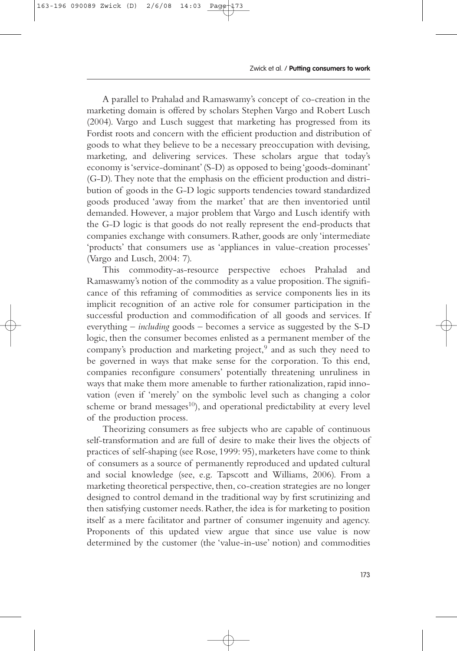A parallel to Prahalad and Ramaswamy's concept of co-creation in the marketing domain is offered by scholars Stephen Vargo and Robert Lusch (2004). Vargo and Lusch suggest that marketing has progressed from its Fordist roots and concern with the efficient production and distribution of goods to what they believe to be a necessary preoccupation with devising, marketing, and delivering services. These scholars argue that today's economy is 'service-dominant'(S-D) as opposed to being 'goods-dominant' (G-D). They note that the emphasis on the efficient production and distribution of goods in the G-D logic supports tendencies toward standardized goods produced 'away from the market' that are then inventoried until demanded. However, a major problem that Vargo and Lusch identify with the G-D logic is that goods do not really represent the end-products that companies exchange with consumers. Rather, goods are only 'intermediate 'products' that consumers use as 'appliances in value-creation processes' (Vargo and Lusch, 2004: 7).

This commodity-as-resource perspective echoes Prahalad and Ramaswamy's notion of the commodity as a value proposition. The significance of this reframing of commodities as service components lies in its implicit recognition of an active role for consumer participation in the successful production and commodification of all goods and services. If everything – *including* goods – becomes a service as suggested by the S-D logic, then the consumer becomes enlisted as a permanent member of the company's production and marketing project,<sup>9</sup> and as such they need to be governed in ways that make sense for the corporation. To this end, companies reconfigure consumers' potentially threatening unruliness in ways that make them more amenable to further rationalization, rapid innovation (even if 'merely' on the symbolic level such as changing a color scheme or brand messages<sup>10</sup>), and operational predictability at every level of the production process.

Theorizing consumers as free subjects who are capable of continuous self-transformation and are full of desire to make their lives the objects of practices of self-shaping (see Rose, 1999: 95), marketers have come to think of consumers as a source of permanently reproduced and updated cultural and social knowledge (see, e.g. Tapscott and Williams, 2006). From a marketing theoretical perspective, then, co-creation strategies are no longer designed to control demand in the traditional way by first scrutinizing and then satisfying customer needs. Rather, the idea is for marketing to position itself as a mere facilitator and partner of consumer ingenuity and agency. Proponents of this updated view argue that since use value is now determined by the customer (the 'value-in-use' notion) and commodities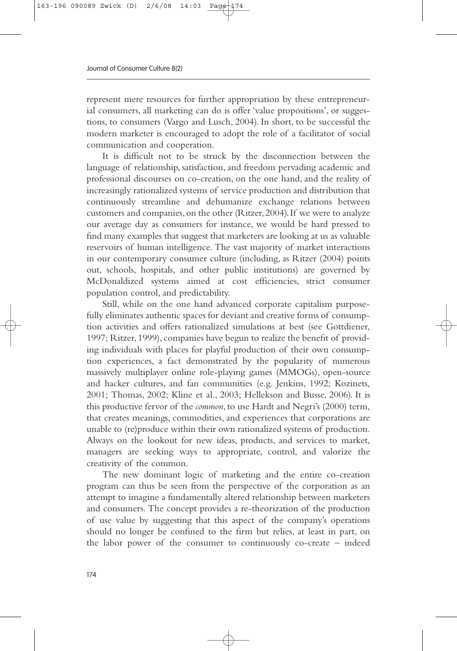represent mere resources for further appropriation by these entrepreneurial consumers, all marketing can do is offer 'value propositions', or suggestions, to consumers (Vargo and Lusch, 2004). In short, to be successful the modern marketer is encouraged to adopt the role of a facilitator of social communication and cooperation.

It is difficult not to be struck by the disconnection between the language of relationship, satisfaction, and freedom pervading academic and professional discourses on co-creation, on the one hand, and the reality of increasingly rationalized systems of service production and distribution that continuously streamline and dehumanize exchange relations between customers and companies, on the other (Ritzer, 2004). If we were to analyze our average day as consumers for instance, we would be hard pressed to find many examples that suggest that marketers are looking at us as valuable reservoirs of human intelligence. The vast majority of market interactions in our contemporary consumer culture (including, as Ritzer (2004) points out, schools, hospitals, and other public institutions) are governed by McDonaldized systems aimed at cost efficiencies, strict consumer population control, and predictability.

Still, while on the one hand advanced corporate capitalism purposefully eliminates authentic spaces for deviant and creative forms of consumption activities and offers rationalized simulations at best (see Gottdiener, 1997; Ritzer, 1999), companies have begun to realize the benefit of providing individuals with places for playful production of their own consumption experiences, a fact demonstrated by the popularity of numerous massively multiplayer online role-playing games (MMOGs), open-source and hacker cultures, and fan communities (e.g. Jenkins, 1992; Kozinets, 2001; Thomas, 2002; Kline et al., 2003; Hellekson and Busse, 2006). It is this productive fervor of the *common*, to use Hardt and Negri's (2000) term, that creates meanings, commodities, and experiences that corporations are unable to (re)produce within their own rationalized systems of production. Always on the lookout for new ideas, products, and services to market, managers are seeking ways to appropriate, control, and valorize the creativity of the common.

The new dominant logic of marketing and the entire co-creation program can thus be seen from the perspective of the corporation as an attempt to imagine a fundamentally altered relationship between marketers and consumers. The concept provides a re-theorization of the production of use value by suggesting that this aspect of the company's operations should no longer be confined to the firm but relies, at least in part, on the labor power of the consumer to continuously co-create – indeed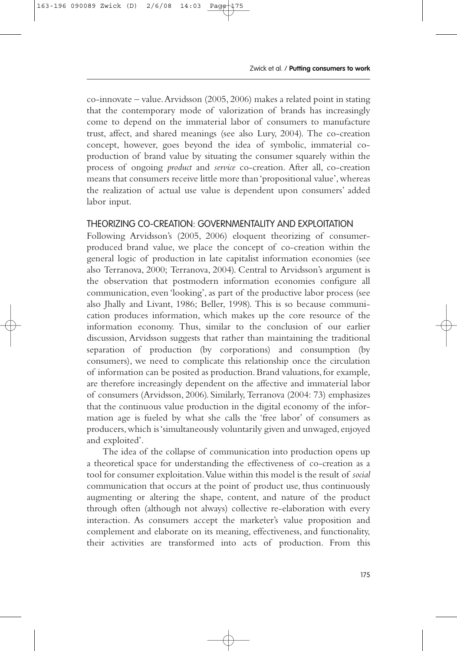co-innovate – value.Arvidsson (2005, 2006) makes a related point in stating that the contemporary mode of valorization of brands has increasingly come to depend on the immaterial labor of consumers to manufacture trust, affect, and shared meanings (see also Lury, 2004). The co-creation concept, however, goes beyond the idea of symbolic, immaterial coproduction of brand value by situating the consumer squarely within the process of ongoing *product* and *service* co-creation. After all, co-creation means that consumers receive little more than 'propositional value', whereas the realization of actual use value is dependent upon consumers' added labor input.

### THEORIZING CO-CREATION: GOVERNMENTALITY AND EXPLOITATION

Following Arvidsson's (2005, 2006) eloquent theorizing of consumerproduced brand value, we place the concept of co-creation within the general logic of production in late capitalist information economies (see also Terranova, 2000; Terranova, 2004). Central to Arvidsson's argument is the observation that postmodern information economies configure all communication, even 'looking', as part of the productive labor process (see also Jhally and Livant, 1986; Beller, 1998). This is so because communication produces information, which makes up the core resource of the information economy. Thus, similar to the conclusion of our earlier discussion, Arvidsson suggests that rather than maintaining the traditional separation of production (by corporations) and consumption (by consumers), we need to complicate this relationship once the circulation of information can be posited as production. Brand valuations, for example, are therefore increasingly dependent on the affective and immaterial labor of consumers (Arvidsson, 2006). Similarly, Terranova (2004: 73) emphasizes that the continuous value production in the digital economy of the information age is fueled by what she calls the 'free labor' of consumers as producers,which is 'simultaneously voluntarily given and unwaged,enjoyed and exploited'.

The idea of the collapse of communication into production opens up a theoretical space for understanding the effectiveness of co-creation as a tool for consumer exploitation.Value within this model is the result of *social* communication that occurs at the point of product use, thus continuously augmenting or altering the shape, content, and nature of the product through often (although not always) collective re-elaboration with every interaction. As consumers accept the marketer's value proposition and complement and elaborate on its meaning, effectiveness, and functionality, their activities are transformed into acts of production. From this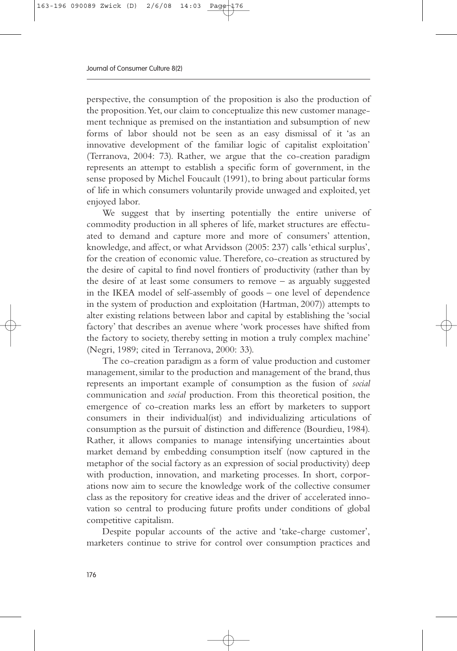perspective, the consumption of the proposition is also the production of the proposition.Yet, our claim to conceptualize this new customer management technique as premised on the instantiation and subsumption of new forms of labor should not be seen as an easy dismissal of it 'as an innovative development of the familiar logic of capitalist exploitation' (Terranova, 2004: 73). Rather, we argue that the co-creation paradigm represents an attempt to establish a specific form of government, in the sense proposed by Michel Foucault (1991), to bring about particular forms of life in which consumers voluntarily provide unwaged and exploited, yet enjoyed labor.

We suggest that by inserting potentially the entire universe of commodity production in all spheres of life, market structures are effectuated to demand and capture more and more of consumers' attention, knowledge, and affect, or what Arvidsson (2005: 237) calls 'ethical surplus', for the creation of economic value. Therefore, co-creation as structured by the desire of capital to find novel frontiers of productivity (rather than by the desire of at least some consumers to remove – as arguably suggested in the IKEA model of self-assembly of goods – one level of dependence in the system of production and exploitation (Hartman, 2007)) attempts to alter existing relations between labor and capital by establishing the 'social factory' that describes an avenue where 'work processes have shifted from the factory to society, thereby setting in motion a truly complex machine' (Negri, 1989; cited in Terranova, 2000: 33).

The co-creation paradigm as a form of value production and customer management, similar to the production and management of the brand, thus represents an important example of consumption as the fusion of *social* communication and *social* production. From this theoretical position, the emergence of co-creation marks less an effort by marketers to support consumers in their individual(ist) and individualizing articulations of consumption as the pursuit of distinction and difference (Bourdieu, 1984). Rather, it allows companies to manage intensifying uncertainties about market demand by embedding consumption itself (now captured in the metaphor of the social factory as an expression of social productivity) deep with production, innovation, and marketing processes. In short, corporations now aim to secure the knowledge work of the collective consumer class as the repository for creative ideas and the driver of accelerated innovation so central to producing future profits under conditions of global competitive capitalism.

Despite popular accounts of the active and 'take-charge customer', marketers continue to strive for control over consumption practices and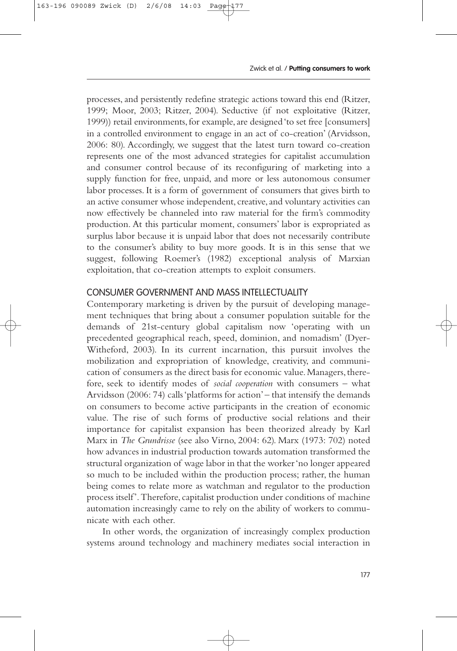processes, and persistently redefine strategic actions toward this end (Ritzer, 1999; Moor, 2003; Ritzer, 2004). Seductive (if not exploitative (Ritzer, 1999)) retail environments, for example, are designed 'to set free [consumers] in a controlled environment to engage in an act of co-creation' (Arvidsson, 2006: 80). Accordingly, we suggest that the latest turn toward co-creation represents one of the most advanced strategies for capitalist accumulation and consumer control because of its reconfiguring of marketing into a supply function for free, unpaid, and more or less autonomous consumer labor processes. It is a form of government of consumers that gives birth to an active consumer whose independent, creative, and voluntary activities can now effectively be channeled into raw material for the firm's commodity production. At this particular moment, consumers' labor is expropriated as surplus labor because it is unpaid labor that does not necessarily contribute to the consumer's ability to buy more goods. It is in this sense that we suggest, following Roemer's (1982) exceptional analysis of Marxian exploitation, that co-creation attempts to exploit consumers.

## CONSUMER GOVERNMENT AND MASS INTELLECTUALITY

Contemporary marketing is driven by the pursuit of developing management techniques that bring about a consumer population suitable for the demands of 21st-century global capitalism now 'operating with un precedented geographical reach, speed, dominion, and nomadism' (Dyer-Witheford, 2003). In its current incarnation, this pursuit involves the mobilization and expropriation of knowledge, creativity, and communication of consumers as the direct basis for economic value.Managers,therefore, seek to identify modes of *social cooperation* with consumers – what Arvidsson (2006: 74) calls 'platforms for action'– that intensify the demands on consumers to become active participants in the creation of economic value. The rise of such forms of productive social relations and their importance for capitalist expansion has been theorized already by Karl Marx in *The Grundrisse* (see also Virno, 2004: 62). Marx (1973: 702) noted how advances in industrial production towards automation transformed the structural organization of wage labor in that the worker 'no longer appeared so much to be included within the production process; rather, the human being comes to relate more as watchman and regulator to the production process itself'. Therefore, capitalist production under conditions of machine automation increasingly came to rely on the ability of workers to communicate with each other.

In other words, the organization of increasingly complex production systems around technology and machinery mediates social interaction in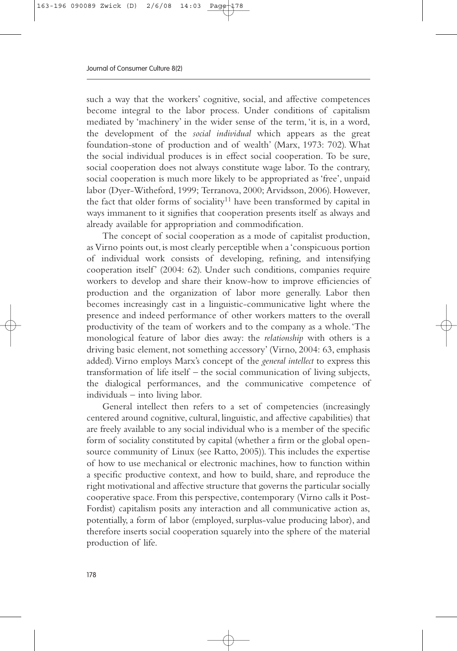such a way that the workers' cognitive, social, and affective competences become integral to the labor process. Under conditions of capitalism mediated by 'machinery' in the wider sense of the term, 'it is, in a word, the development of the *social individual* which appears as the great foundation-stone of production and of wealth' (Marx, 1973: 702). What the social individual produces is in effect social cooperation. To be sure, social cooperation does not always constitute wage labor. To the contrary, social cooperation is much more likely to be appropriated as 'free', unpaid labor (Dyer-Witheford, 1999; Terranova, 2000; Arvidsson, 2006). However, the fact that older forms of sociality<sup>11</sup> have been transformed by capital in ways immanent to it signifies that cooperation presents itself as always and already available for appropriation and commodification.

The concept of social cooperation as a mode of capitalist production, as Virno points out, is most clearly perceptible when a 'conspicuous portion of individual work consists of developing, refining, and intensifying cooperation itself' (2004: 62). Under such conditions, companies require workers to develop and share their know-how to improve efficiencies of production and the organization of labor more generally. Labor then becomes increasingly cast in a linguistic-communicative light where the presence and indeed performance of other workers matters to the overall productivity of the team of workers and to the company as a whole.'The monological feature of labor dies away: the *relationship* with others is a driving basic element, not something accessory' (Virno, 2004: 63, emphasis added). Virno employs Marx's concept of the *general intellect* to express this transformation of life itself – the social communication of living subjects, the dialogical performances, and the communicative competence of individuals – into living labor.

General intellect then refers to a set of competencies (increasingly centered around cognitive, cultural, linguistic, and affective capabilities) that are freely available to any social individual who is a member of the specific form of sociality constituted by capital (whether a firm or the global opensource community of Linux (see Ratto, 2005)). This includes the expertise of how to use mechanical or electronic machines, how to function within a specific productive context, and how to build, share, and reproduce the right motivational and affective structure that governs the particular socially cooperative space. From this perspective, contemporary (Virno calls it Post-Fordist) capitalism posits any interaction and all communicative action as, potentially, a form of labor (employed, surplus-value producing labor), and therefore inserts social cooperation squarely into the sphere of the material production of life.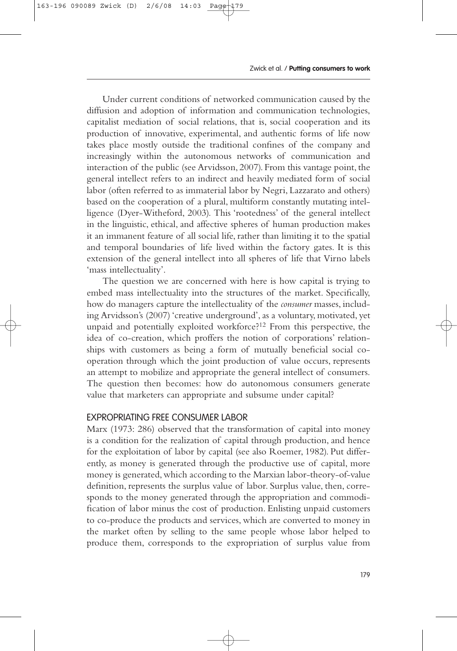Under current conditions of networked communication caused by the diffusion and adoption of information and communication technologies, capitalist mediation of social relations, that is, social cooperation and its production of innovative, experimental, and authentic forms of life now takes place mostly outside the traditional confines of the company and increasingly within the autonomous networks of communication and interaction of the public (see Arvidsson, 2007). From this vantage point, the general intellect refers to an indirect and heavily mediated form of social labor (often referred to as immaterial labor by Negri, Lazzarato and others) based on the cooperation of a plural, multiform constantly mutating intelligence (Dyer-Witheford, 2003). This 'rootedness' of the general intellect in the linguistic, ethical, and affective spheres of human production makes it an immanent feature of all social life, rather than limiting it to the spatial and temporal boundaries of life lived within the factory gates. It is this extension of the general intellect into all spheres of life that Virno labels 'mass intellectuality'.

The question we are concerned with here is how capital is trying to embed mass intellectuality into the structures of the market. Specifically, how do managers capture the intellectuality of the *consumer* masses, including Arvidsson's (2007) 'creative underground', as a voluntary, motivated, yet unpaid and potentially exploited workforce?12 From this perspective, the idea of co-creation, which proffers the notion of corporations' relationships with customers as being a form of mutually beneficial social cooperation through which the joint production of value occurs, represents an attempt to mobilize and appropriate the general intellect of consumers. The question then becomes: how do autonomous consumers generate value that marketers can appropriate and subsume under capital?

#### EXPROPRIATING FREE CONSUMER LABOR

Marx (1973: 286) observed that the transformation of capital into money is a condition for the realization of capital through production, and hence for the exploitation of labor by capital (see also Roemer, 1982). Put differently, as money is generated through the productive use of capital, more money is generated, which according to the Marxian labor-theory-of-value definition, represents the surplus value of labor. Surplus value, then, corresponds to the money generated through the appropriation and commodification of labor minus the cost of production. Enlisting unpaid customers to co-produce the products and services, which are converted to money in the market often by selling to the same people whose labor helped to produce them, corresponds to the expropriation of surplus value from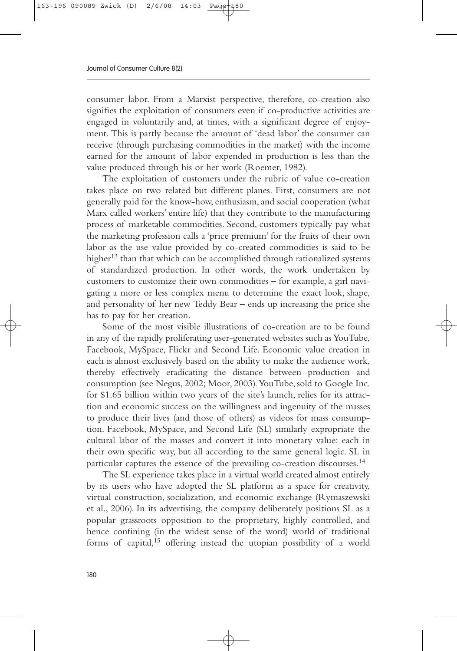consumer labor. From a Marxist perspective, therefore, co-creation also signifies the exploitation of consumers even if co-productive activities are engaged in voluntarily and, at times, with a significant degree of enjoyment. This is partly because the amount of 'dead labor' the consumer can receive (through purchasing commodities in the market) with the income earned for the amount of labor expended in production is less than the value produced through his or her work (Roemer, 1982).

The exploitation of customers under the rubric of value co-creation takes place on two related but different planes. First, consumers are not generally paid for the know-how, enthusiasm, and social cooperation (what Marx called workers' entire life) that they contribute to the manufacturing process of marketable commodities. Second, customers typically pay what the marketing profession calls a 'price premium' for the fruits of their own labor as the use value provided by co-created commodities is said to be higher<sup>13</sup> than that which can be accomplished through rationalized systems of standardized production. In other words, the work undertaken by customers to customize their own commodities – for example, a girl navigating a more or less complex menu to determine the exact look, shape, and personality of her new Teddy Bear – ends up increasing the price she has to pay for her creation.

Some of the most visible illustrations of co-creation are to be found in any of the rapidly proliferating user-generated websites such as YouTube, Facebook, MySpace, Flickr and Second Life. Economic value creation in each is almost exclusively based on the ability to make the audience work, thereby effectively eradicating the distance between production and consumption (see Negus, 2002; Moor, 2003).YouTube, sold to Google Inc. for \$1.65 billion within two years of the site's launch, relies for its attraction and economic success on the willingness and ingenuity of the masses to produce their lives (and those of others) as videos for mass consumption. Facebook, MySpace, and Second Life (SL) similarly expropriate the cultural labor of the masses and convert it into monetary value: each in their own specific way, but all according to the same general logic. SL in particular captures the essence of the prevailing co-creation discourses.14

The SL experience takes place in a virtual world created almost entirely by its users who have adopted the SL platform as a space for creativity, virtual construction, socialization, and economic exchange (Rymaszewski et al., 2006). In its advertising, the company deliberately positions SL as a popular grassroots opposition to the proprietary, highly controlled, and hence confining (in the widest sense of the word) world of traditional forms of capital,15 offering instead the utopian possibility of a world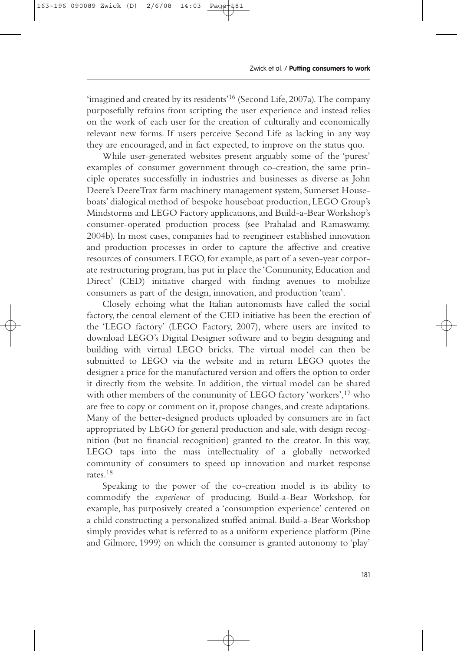'imagined and created by its residents'16 (Second Life,2007a).The company purposefully refrains from scripting the user experience and instead relies on the work of each user for the creation of culturally and economically relevant new forms. If users perceive Second Life as lacking in any way they are encouraged, and in fact expected, to improve on the status quo.

While user-generated websites present arguably some of the 'purest' examples of consumer government through co-creation, the same principle operates successfully in industries and businesses as diverse as John Deere's DeereTrax farm machinery management system, Sumerset Houseboats' dialogical method of bespoke houseboat production, LEGO Group's Mindstorms and LEGO Factory applications, and Build-a-Bear Workshop's consumer-operated production process (see Prahalad and Ramaswamy, 2004b). In most cases, companies had to reengineer established innovation and production processes in order to capture the affective and creative resources of consumers.LEGO,for example,as part of a seven-year corporate restructuring program, has put in place the 'Community, Education and Direct' (CED) initiative charged with finding avenues to mobilize consumers as part of the design, innovation, and production 'team'.

Closely echoing what the Italian autonomists have called the social factory, the central element of the CED initiative has been the erection of the 'LEGO factory' (LEGO Factory, 2007), where users are invited to download LEGO's Digital Designer software and to begin designing and building with virtual LEGO bricks. The virtual model can then be submitted to LEGO via the website and in return LEGO quotes the designer a price for the manufactured version and offers the option to order it directly from the website. In addition, the virtual model can be shared with other members of the community of LEGO factory 'workers',17 who are free to copy or comment on it, propose changes, and create adaptations. Many of the better-designed products uploaded by consumers are in fact appropriated by LEGO for general production and sale, with design recognition (but no financial recognition) granted to the creator. In this way, LEGO taps into the mass intellectuality of a globally networked community of consumers to speed up innovation and market response rates.18

Speaking to the power of the co-creation model is its ability to commodify the *experience* of producing. Build-a-Bear Workshop, for example, has purposively created a 'consumption experience' centered on a child constructing a personalized stuffed animal. Build-a-Bear Workshop simply provides what is referred to as a uniform experience platform (Pine and Gilmore, 1999) on which the consumer is granted autonomy to 'play'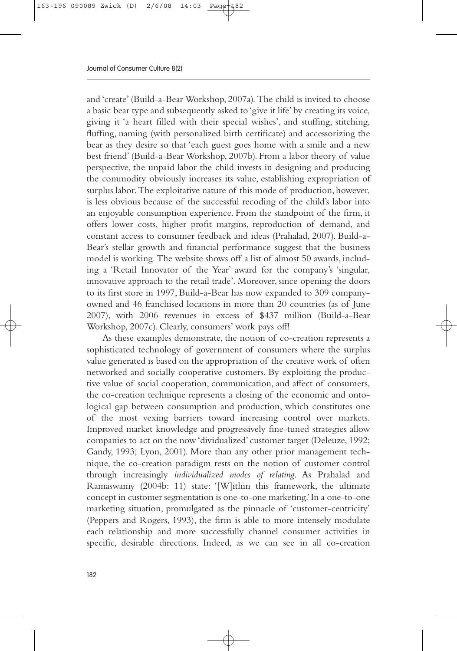and 'create' (Build-a-Bear Workshop, 2007a). The child is invited to choose a basic bear type and subsequently asked to 'give it life' by creating its voice, giving it 'a heart filled with their special wishes', and stuffing, stitching, fluffing, naming (with personalized birth certificate) and accessorizing the bear as they desire so that 'each guest goes home with a smile and a new best friend' (Build-a-Bear Workshop, 2007b). From a labor theory of value perspective, the unpaid labor the child invests in designing and producing the commodity obviously increases its value, establishing expropriation of surplus labor. The exploitative nature of this mode of production, however, is less obvious because of the successful recoding of the child's labor into an enjoyable consumption experience. From the standpoint of the firm, it offers lower costs, higher profit margins, reproduction of demand, and constant access to consumer feedback and ideas (Prahalad, 2007). Build-a-Bear's stellar growth and financial performance suggest that the business model is working. The website shows off a list of almost 50 awards, including a 'Retail Innovator of the Year' award for the company's 'singular, innovative approach to the retail trade'. Moreover, since opening the doors to its first store in 1997, Build-a-Bear has now expanded to 309 companyowned and 46 franchised locations in more than 20 countries (as of June 2007), with 2006 revenues in excess of \$437 million (Build-a-Bear Workshop, 2007c). Clearly, consumers' work pays off!

As these examples demonstrate, the notion of co-creation represents a sophisticated technology of government of consumers where the surplus value generated is based on the appropriation of the creative work of often networked and socially cooperative customers. By exploiting the productive value of social cooperation, communication, and affect of consumers, the co-creation technique represents a closing of the economic and ontological gap between consumption and production, which constitutes one of the most vexing barriers toward increasing control over markets. Improved market knowledge and progressively fine-tuned strategies allow companies to act on the now 'dividualized' customer target (Deleuze, 1992; Gandy, 1993; Lyon, 2001). More than any other prior management technique, the co-creation paradigm rests on the notion of customer control through increasingly *individualized modes of relating*. As Prahalad and Ramaswamy (2004b: 11) state: '[W]ithin this framework, the ultimate concept in customer segmentation is one-to-one marketing.'In a one-to-one marketing situation, promulgated as the pinnacle of 'customer-centricity' (Peppers and Rogers, 1993), the firm is able to more intensely modulate each relationship and more successfully channel consumer activities in specific, desirable directions. Indeed, as we can see in all co-creation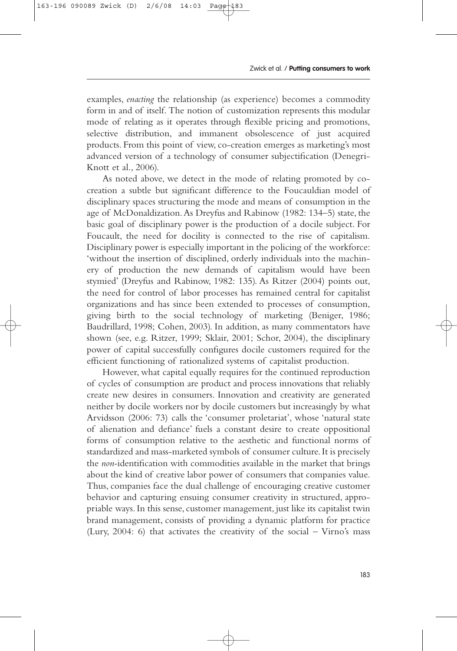examples, *enacting* the relationship (as experience) becomes a commodity form in and of itself. The notion of customization represents this modular mode of relating as it operates through flexible pricing and promotions, selective distribution, and immanent obsolescence of just acquired products. From this point of view, co-creation emerges as marketing's most advanced version of a technology of consumer subjectification (Denegri-Knott et al., 2006).

As noted above, we detect in the mode of relating promoted by cocreation a subtle but significant difference to the Foucauldian model of disciplinary spaces structuring the mode and means of consumption in the age of McDonaldization.As Dreyfus and Rabinow (1982: 134–5) state, the basic goal of disciplinary power is the production of a docile subject. For Foucault, the need for docility is connected to the rise of capitalism. Disciplinary power is especially important in the policing of the workforce: 'without the insertion of disciplined, orderly individuals into the machinery of production the new demands of capitalism would have been stymied' (Dreyfus and Rabinow, 1982: 135). As Ritzer (2004) points out, the need for control of labor processes has remained central for capitalist organizations and has since been extended to processes of consumption, giving birth to the social technology of marketing (Beniger, 1986; Baudrillard, 1998; Cohen, 2003). In addition, as many commentators have shown (see, e.g. Ritzer, 1999; Sklair, 2001; Schor, 2004), the disciplinary power of capital successfully configures docile customers required for the efficient functioning of rationalized systems of capitalist production.

However, what capital equally requires for the continued reproduction of cycles of consumption are product and process innovations that reliably create new desires in consumers. Innovation and creativity are generated neither by docile workers nor by docile customers but increasingly by what Arvidsson (2006: 73) calls the 'consumer proletariat', whose 'natural state of alienation and defiance' fuels a constant desire to create oppositional forms of consumption relative to the aesthetic and functional norms of standardized and mass-marketed symbols of consumer culture.It is precisely the *non-*identification with commodities available in the market that brings about the kind of creative labor power of consumers that companies value. Thus, companies face the dual challenge of encouraging creative customer behavior and capturing ensuing consumer creativity in structured, appropriable ways. In this sense, customer management, just like its capitalist twin brand management, consists of providing a dynamic platform for practice (Lury, 2004: 6) that activates the creativity of the social – Virno's mass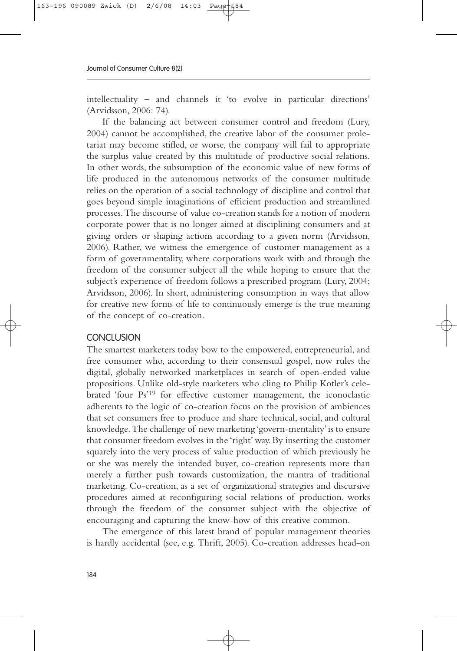intellectuality – and channels it 'to evolve in particular directions' (Arvidsson, 2006: 74).

If the balancing act between consumer control and freedom (Lury, 2004) cannot be accomplished, the creative labor of the consumer proletariat may become stifled, or worse, the company will fail to appropriate the surplus value created by this multitude of productive social relations. In other words, the subsumption of the economic value of new forms of life produced in the autonomous networks of the consumer multitude relies on the operation of a social technology of discipline and control that goes beyond simple imaginations of efficient production and streamlined processes.The discourse of value co-creation stands for a notion of modern corporate power that is no longer aimed at disciplining consumers and at giving orders or shaping actions according to a given norm (Arvidsson, 2006). Rather, we witness the emergence of customer management as a form of governmentality, where corporations work with and through the freedom of the consumer subject all the while hoping to ensure that the subject's experience of freedom follows a prescribed program (Lury, 2004; Arvidsson, 2006). In short, administering consumption in ways that allow for creative new forms of life to continuously emerge is the true meaning of the concept of co-creation.

### **CONCLUSION**

The smartest marketers today bow to the empowered, entrepreneurial, and free consumer who, according to their consensual gospel, now rules the digital, globally networked marketplaces in search of open-ended value propositions. Unlike old-style marketers who cling to Philip Kotler's celebrated 'four Ps'19 for effective customer management, the iconoclastic adherents to the logic of co-creation focus on the provision of ambiences that set consumers free to produce and share technical, social, and cultural knowledge.The challenge of new marketing 'govern-mentality'is to ensure that consumer freedom evolves in the 'right' way. By inserting the customer squarely into the very process of value production of which previously he or she was merely the intended buyer, co-creation represents more than merely a further push towards customization, the mantra of traditional marketing. Co-creation, as a set of organizational strategies and discursive procedures aimed at reconfiguring social relations of production, works through the freedom of the consumer subject with the objective of encouraging and capturing the know-how of this creative common.

The emergence of this latest brand of popular management theories is hardly accidental (see, e.g. Thrift, 2005). Co-creation addresses head-on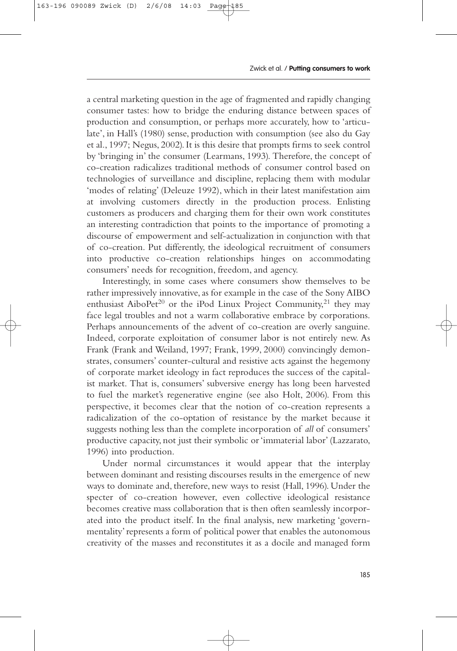a central marketing question in the age of fragmented and rapidly changing consumer tastes: how to bridge the enduring distance between spaces of production and consumption, or perhaps more accurately, how to 'articulate', in Hall's (1980) sense, production with consumption (see also du Gay et al., 1997; Negus, 2002). It is this desire that prompts firms to seek control by 'bringing in' the consumer (Learmans, 1993). Therefore, the concept of co-creation radicalizes traditional methods of consumer control based on technologies of surveillance and discipline, replacing them with modular 'modes of relating' (Deleuze 1992), which in their latest manifestation aim at involving customers directly in the production process. Enlisting customers as producers and charging them for their own work constitutes an interesting contradiction that points to the importance of promoting a discourse of empowerment and self-actualization in conjunction with that of co-creation. Put differently, the ideological recruitment of consumers into productive co-creation relationships hinges on accommodating consumers' needs for recognition, freedom, and agency.

Interestingly, in some cases where consumers show themselves to be rather impressively innovative, as for example in the case of the Sony AIBO enthusiast Aibo $Pet^{20}$  or the iPod Linux Project Community,<sup>21</sup> they may face legal troubles and not a warm collaborative embrace by corporations. Perhaps announcements of the advent of co-creation are overly sanguine. Indeed, corporate exploitation of consumer labor is not entirely new. As Frank (Frank and Weiland, 1997; Frank, 1999, 2000) convincingly demonstrates, consumers' counter-cultural and resistive acts against the hegemony of corporate market ideology in fact reproduces the success of the capitalist market. That is, consumers' subversive energy has long been harvested to fuel the market's regenerative engine (see also Holt, 2006). From this perspective, it becomes clear that the notion of co-creation represents a radicalization of the co-optation of resistance by the market because it suggests nothing less than the complete incorporation of *all* of consumers' productive capacity, not just their symbolic or 'immaterial labor' (Lazzarato, 1996) into production.

Under normal circumstances it would appear that the interplay between dominant and resisting discourses results in the emergence of new ways to dominate and, therefore, new ways to resist (Hall, 1996). Under the specter of co-creation however, even collective ideological resistance becomes creative mass collaboration that is then often seamlessly incorporated into the product itself. In the final analysis, new marketing 'governmentality' represents a form of political power that enables the autonomous creativity of the masses and reconstitutes it as a docile and managed form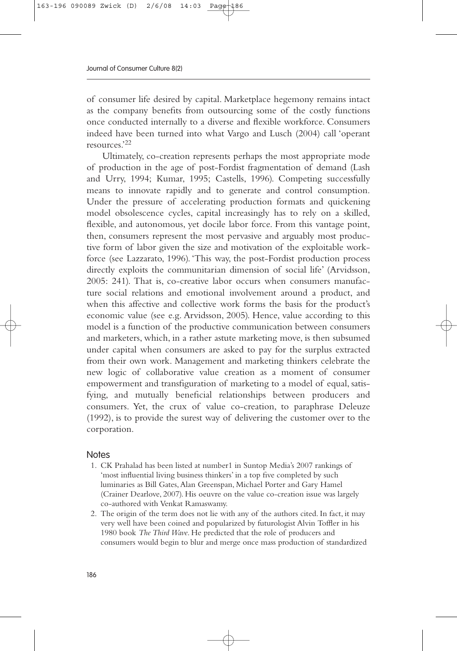of consumer life desired by capital. Marketplace hegemony remains intact as the company benefits from outsourcing some of the costly functions once conducted internally to a diverse and flexible workforce. Consumers indeed have been turned into what Vargo and Lusch (2004) call 'operant resources.'22

Ultimately, co-creation represents perhaps the most appropriate mode of production in the age of post-Fordist fragmentation of demand (Lash and Urry, 1994; Kumar, 1995; Castells, 1996). Competing successfully means to innovate rapidly and to generate and control consumption. Under the pressure of accelerating production formats and quickening model obsolescence cycles, capital increasingly has to rely on a skilled, flexible, and autonomous, yet docile labor force. From this vantage point, then, consumers represent the most pervasive and arguably most productive form of labor given the size and motivation of the exploitable workforce (see Lazzarato, 1996). 'This way, the post-Fordist production process directly exploits the communitarian dimension of social life' (Arvidsson, 2005: 241). That is, co-creative labor occurs when consumers manufacture social relations and emotional involvement around a product, and when this affective and collective work forms the basis for the product's economic value (see e.g. Arvidsson, 2005). Hence, value according to this model is a function of the productive communication between consumers and marketers, which, in a rather astute marketing move, is then subsumed under capital when consumers are asked to pay for the surplus extracted from their own work. Management and marketing thinkers celebrate the new logic of collaborative value creation as a moment of consumer empowerment and transfiguration of marketing to a model of equal, satisfying, and mutually beneficial relationships between producers and consumers. Yet, the crux of value co-creation, to paraphrase Deleuze (1992), is to provide the surest way of delivering the customer over to the corporation.

#### **Notes**

- 1. CK Prahalad has been listed at number1 in Suntop Media's 2007 rankings of 'most influential living business thinkers' in a top five completed by such luminaries as Bill Gates,Alan Greenspan, Michael Porter and Gary Hamel (Crainer Dearlove, 2007). His oeuvre on the value co-creation issue was largely co-authored with Venkat Ramaswamy.
- 2. The origin of the term does not lie with any of the authors cited. In fact, it may very well have been coined and popularized by futurologist Alvin Toffler in his 1980 book *The Third Wave*. He predicted that the role of producers and consumers would begin to blur and merge once mass production of standardized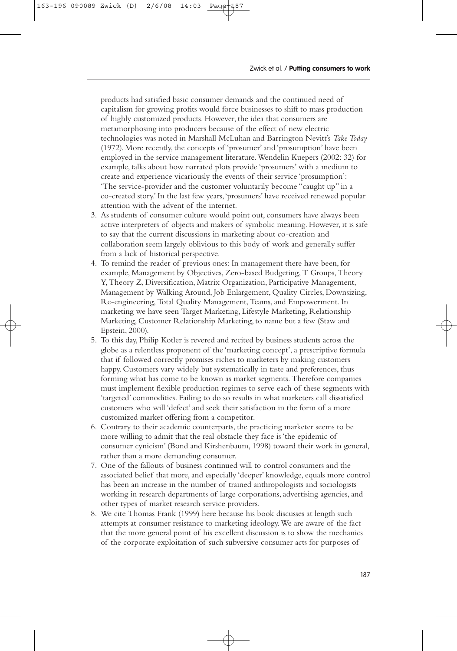products had satisfied basic consumer demands and the continued need of capitalism for growing profits would force businesses to shift to mass production of highly customized products. However, the idea that consumers are metamorphosing into producers because of the effect of new electric technologies was noted in Marshall McLuhan and Barrington Nevitt's *Take Today* (1972). More recently, the concepts of 'prosumer' and 'prosumption' have been employed in the service management literature.Wendelin Kuepers (2002: 32) for example, talks about how narrated plots provide 'prosumers' with a medium to create and experience vicariously the events of their service 'prosumption': 'The service-provider and the customer voluntarily become "caught up" in a co-created story.' In the last few years,'prosumers' have received renewed popular attention with the advent of the internet.

- 3. As students of consumer culture would point out, consumers have always been active interpreters of objects and makers of symbolic meaning. However, it is safe to say that the current discussions in marketing about co-creation and collaboration seem largely oblivious to this body of work and generally suffer from a lack of historical perspective.
- 4. To remind the reader of previous ones: In management there have been, for example, Management by Objectives, Zero-based Budgeting, T Groups, Theory Y, Theory Z, Diversification, Matrix Organization, Participative Management, Management by Walking Around, Job Enlargement, Quality Circles, Downsizing, Re-engineering, Total Quality Management, Teams, and Empowerment. In marketing we have seen Target Marketing, Lifestyle Marketing, Relationship Marketing, Customer Relationship Marketing, to name but a few (Staw and Epstein, 2000).
- 5. To this day, Philip Kotler is revered and recited by business students across the globe as a relentless proponent of the 'marketing concept', a prescriptive formula that if followed correctly promises riches to marketers by making customers happy. Customers vary widely but systematically in taste and preferences, thus forming what has come to be known as market segments. Therefore companies must implement flexible production regimes to serve each of these segments with 'targeted' commodities. Failing to do so results in what marketers call dissatisfied customers who will 'defect' and seek their satisfaction in the form of a more customized market offering from a competitor.
- 6. Contrary to their academic counterparts, the practicing marketer seems to be more willing to admit that the real obstacle they face is 'the epidemic of consumer cynicism' (Bond and Kirshenbaum, 1998) toward their work in general, rather than a more demanding consumer.
- 7. One of the fallouts of business continued will to control consumers and the associated belief that more, and especially 'deeper' knowledge, equals more control has been an increase in the number of trained anthropologists and sociologists working in research departments of large corporations, advertising agencies, and other types of market research service providers.
- 8. We cite Thomas Frank (1999) here because his book discusses at length such attempts at consumer resistance to marketing ideology.We are aware of the fact that the more general point of his excellent discussion is to show the mechanics of the corporate exploitation of such subversive consumer acts for purposes of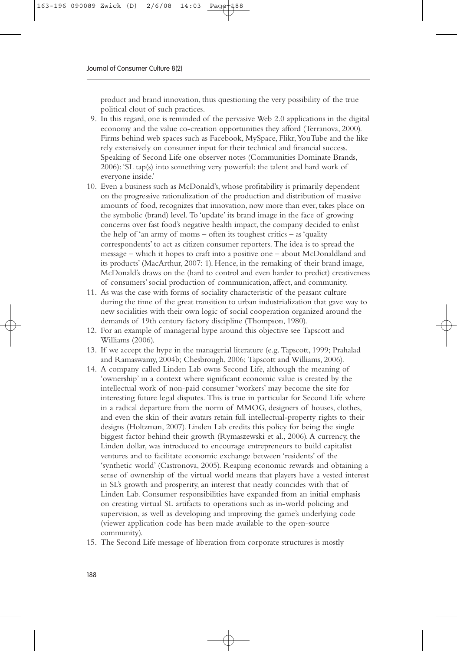product and brand innovation, thus questioning the very possibility of the true political clout of such practices.

- 9. In this regard, one is reminded of the pervasive Web 2.0 applications in the digital economy and the value co-creation opportunities they afford (Terranova, 2000). Firms behind web spaces such as Facebook, MySpace, Flikr,YouTube and the like rely extensively on consumer input for their technical and financial success. Speaking of Second Life one observer notes (Communities Dominate Brands, 2006): 'SL tap(s) into something very powerful: the talent and hard work of everyone inside.'
- 10. Even a business such as McDonald's, whose profitability is primarily dependent on the progressive rationalization of the production and distribution of massive amounts of food, recognizes that innovation, now more than ever, takes place on the symbolic (brand) level. To 'update' its brand image in the face of growing concerns over fast food's negative health impact, the company decided to enlist the help of 'an army of moms – often its toughest critics – as 'quality correspondents' to act as citizen consumer reporters. The idea is to spread the message – which it hopes to craft into a positive one – about McDonaldland and its products' (MacArthur, 2007: 1). Hence, in the remaking of their brand image, McDonald's draws on the (hard to control and even harder to predict) creativeness of consumers' social production of communication, affect, and community.
- 11. As was the case with forms of sociality characteristic of the peasant culture during the time of the great transition to urban industrialization that gave way to new socialities with their own logic of social cooperation organized around the demands of 19th century factory discipline (Thompson, 1980).
- 12. For an example of managerial hype around this objective see Tapscott and Williams (2006).
- 13. If we accept the hype in the managerial literature (e.g. Tapscott, 1999; Prahalad and Ramaswamy, 2004b; Chesbrough, 2006; Tapscott and Williams, 2006).
- 14. A company called Linden Lab owns Second Life, although the meaning of 'ownership' in a context where significant economic value is created by the intellectual work of non-paid consumer 'workers' may become the site for interesting future legal disputes. This is true in particular for Second Life where in a radical departure from the norm of MMOG, designers of houses, clothes, and even the skin of their avatars retain full intellectual-property rights to their designs (Holtzman, 2007). Linden Lab credits this policy for being the single biggest factor behind their growth (Rymaszewski et al., 2006). A currency, the Linden dollar, was introduced to encourage entrepreneurs to build capitalist ventures and to facilitate economic exchange between 'residents' of the 'synthetic world' (Castronova, 2005). Reaping economic rewards and obtaining a sense of ownership of the virtual world means that players have a vested interest in SL's growth and prosperity, an interest that neatly coincides with that of Linden Lab. Consumer responsibilities have expanded from an initial emphasis on creating virtual SL artifacts to operations such as in-world policing and supervision, as well as developing and improving the game's underlying code (viewer application code has been made available to the open-source community).
- 15. The Second Life message of liberation from corporate structures is mostly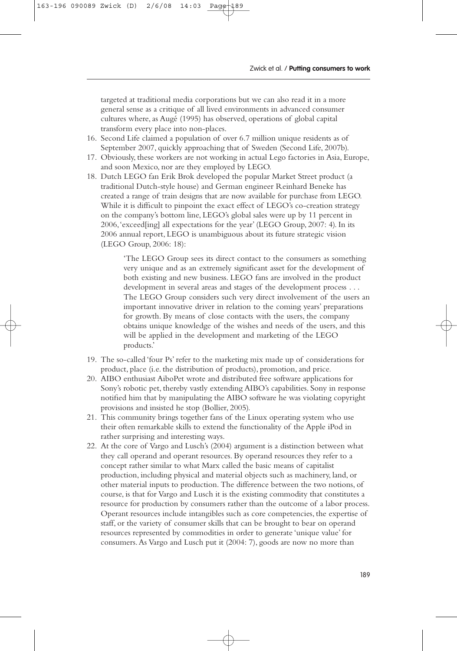targeted at traditional media corporations but we can also read it in a more general sense as a critique of all lived environments in advanced consumer cultures where, as Augé (1995) has observed, operations of global capital transform every place into non-places.

- 16. Second Life claimed a population of over 6.7 million unique residents as of September 2007, quickly approaching that of Sweden (Second Life, 2007b).
- 17. Obviously, these workers are not working in actual Lego factories in Asia, Europe, and soon Mexico, nor are they employed by LEGO.
- 18. Dutch LEGO fan Erik Brok developed the popular Market Street product (a traditional Dutch-style house) and German engineer Reinhard Beneke has created a range of train designs that are now available for purchase from LEGO. While it is difficult to pinpoint the exact effect of LEGO's co-creation strategy on the company's bottom line, LEGO's global sales were up by 11 percent in 2006,'exceed[ing] all expectations for the year' (LEGO Group, 2007: 4). In its 2006 annual report, LEGO is unambiguous about its future strategic vision (LEGO Group, 2006: 18):

'The LEGO Group sees its direct contact to the consumers as something very unique and as an extremely significant asset for the development of both existing and new business. LEGO fans are involved in the product development in several areas and stages of the development process . . . The LEGO Group considers such very direct involvement of the users an important innovative driver in relation to the coming years' preparations for growth. By means of close contacts with the users, the company obtains unique knowledge of the wishes and needs of the users, and this will be applied in the development and marketing of the LEGO products.'

- 19. The so-called 'four Ps' refer to the marketing mix made up of considerations for product, place (i.e. the distribution of products), promotion, and price.
- 20. AIBO enthusiast AiboPet wrote and distributed free software applications for Sony's robotic pet, thereby vastly extending AIBO's capabilities. Sony in response notified him that by manipulating the AIBO software he was violating copyright provisions and insisted he stop (Bollier, 2005).
- 21. This community brings together fans of the Linux operating system who use their often remarkable skills to extend the functionality of the Apple iPod in rather surprising and interesting ways.
- 22. At the core of Vargo and Lusch's (2004) argument is a distinction between what they call operand and operant resources. By operand resources they refer to a concept rather similar to what Marx called the basic means of capitalist production, including physical and material objects such as machinery, land, or other material inputs to production. The difference between the two notions, of course, is that for Vargo and Lusch it is the existing commodity that constitutes a resource for production by consumers rather than the outcome of a labor process. Operant resources include intangibles such as core competencies, the expertise of staff, or the variety of consumer skills that can be brought to bear on operand resources represented by commodities in order to generate 'unique value' for consumers.As Vargo and Lusch put it (2004: 7), goods are now no more than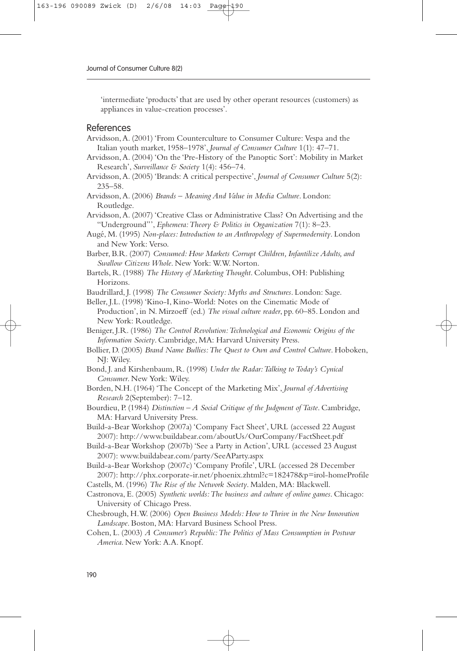'intermediate 'products' that are used by other operant resources (customers) as appliances in value-creation processes'.

#### References

- Arvidsson,A. (2001) 'From Counterculture to Consumer Culture: Vespa and the Italian youth market, 1958–1978', *Journal of Consumer Culture* 1(1): 47–71.
- Arvidsson,A. (2004) 'On the 'Pre-History of the Panoptic Sort': Mobility in Market Research', *Surveillance & Society* 1(4): 456–74.
- Arvidsson,A. (2005) 'Brands: A critical perspective', *Journal of Consumer Culture* 5(2): 235–58.
- Arvidsson,A. (2006) *Brands Meaning And Value in Media Culture*. London: Routledge.
- Arvidsson,A. (2007) 'Creative Class or Administrative Class? On Advertising and the "Underground"', *Ephemera:Theory & Politics in Organization* 7(1): 8–23.
- Augé, M. (1995) *Non-places: Introduction to an Anthropology of Supermodernity*. London and New York: Verso.
- Barber, B.R. (2007) *Consumed: How Markets Corrupt Children, Infantilize Adults, and Swallow Citizens Whole*. New York: W.W. Norton.
- Bartels, R. (1988) *The History of Marketing Thought*. Columbus, OH: Publishing Horizons.
- Baudrillard, J. (1998) *The Consumer Society: Myths and Structures*. London: Sage.

Beller, J.L. (1998) 'Kino-I, Kino-World: Notes on the Cinematic Mode of Production', in N. Mirzoeff (ed.) *The visual culture reader*, pp. 60–85. London and New York: Routledge.

- Beniger, J.R. (1986) *The Control Revolution:Technological and Economic Origins of the Information Society*. Cambridge, MA: Harvard University Press.
- Bollier, D. (2005) *Brand Name Bullies:The Quest to Own and Control Culture*. Hoboken, NJ: Wiley.
- Bond, J. and Kirshenbaum, R. (1998) *Under the Radar:Talking to Today's Cynical Consumer*. New York: Wiley.
- Borden, N.H. (1964) 'The Concept of the Marketing Mix', *Journal of Advertising Research* 2(September): 7–12.
- Bourdieu, P. (1984) *Distinction A Social Critique of the Judgment of Taste*. Cambridge, MA: Harvard University Press.
- Build-a-Bear Workshop (2007a) 'Company Fact Sheet', URL (accessed 22 August 2007): http://www.buildabear.com/aboutUs/OurCompany/FactSheet.pdf
- Build-a-Bear Workshop (2007b) 'See a Party in Action', URL (accessed 23 August 2007): www.buildabear.com/party/SeeAParty.aspx
- Build-a-Bear Workshop (2007c) 'Company Profile', URL (accessed 28 December 2007): http://phx.corporate-ir.net/phoenix.zhtml?c=182478&p=irol-homeProfile
- Castells, M. (1996) *The Rise of the Network Society*. Malden, MA: Blackwell.
- Castronova, E. (2005) *Synthetic worlds:The business and culture of online games*. Chicago: University of Chicago Press.
- Chesbrough, H.W. (2006) *Open Business Models: How to Thrive in the New Innovation Landscape*. Boston, MA: Harvard Business School Press.
- Cohen, L. (2003) *A Consumer's Republic:The Politics of Mass Consumption in Postwar America*. New York: A.A. Knopf.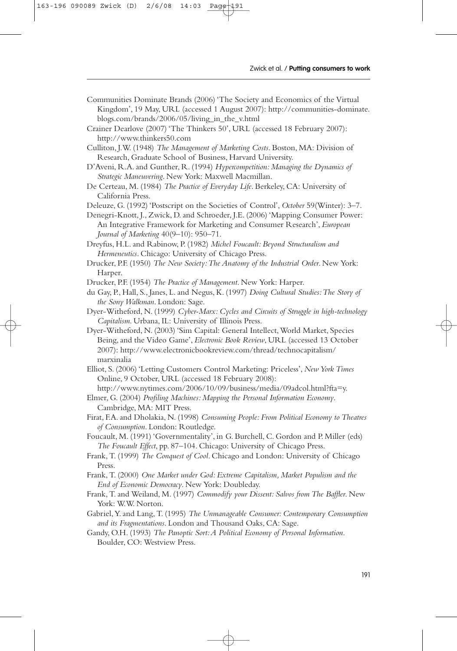- Communities Dominate Brands (2006) 'The Society and Economics of the Virtual Kingdom', 19 May, URL (accessed 1 August 2007): http://communities-dominate. blogs.com/brands/2006/05/living\_in\_the\_v.html
- Crainer Dearlove (2007) 'The Thinkers 50', URL (accessed 18 February 2007): http://www.thinkers50.com
- Culliton, J.W. (1948) *The Management of Marketing Costs*. Boston, MA: Division of Research, Graduate School of Business, Harvard University.
- D'Aveni, R.A. and Gunther, R. (1994) *Hypercompetition: Managing the Dynamics of Strategic Maneuvering*. New York: Maxwell Macmillan.
- De Certeau, M. (1984) *The Practice of Everyday Life*. Berkeley, CA: University of California Press.
- Deleuze, G. (1992) 'Postscript on the Societies of Control', *October* 59(Winter): 3–7.
- Denegri-Knott, J., Zwick, D. and Schroeder, J.E. (2006) 'Mapping Consumer Power: An Integrative Framework for Marketing and Consumer Research', *European Journal of Marketing* 40(9–10): 950–71.
- Dreyfus, H.L. and Rabinow, P. (1982) *Michel Foucault: Beyond Structuralism and Hermeneutics*. Chicago: University of Chicago Press.
- Drucker, P.F. (1950) *The New Society:The Anatomy of the Industrial Order*. New York: Harper.
- Drucker, P.F. (1954) *The Practice of Management*. New York: Harper.
- du Gay, P., Hall, S., Janes, L. and Negus, K. (1997) *Doing Cultural Studies:The Story of the Sony Walkman*. London: Sage.
- Dyer-Witheford, N. (1999) *Cyber-Marx: Cycles and Circuits of Struggle in high-technology Capitalism*. Urbana, IL: University of Illinois Press.
- Dyer-Witheford, N. (2003) 'Sim Capital: General Intellect,World Market, Species Being, and the Video Game', *Electronic Book Review*, URL (accessed 13 October 2007): http://www.electronicbookreview.com/thread/technocapitalism/ marxinalia
- Elliot, S. (2006) 'Letting Customers Control Marketing: Priceless', *New York Times* Online, 9 October, URL (accessed 18 February 2008):
- http://www.nytimes.com/2006/10/09/business/media/09adcol.html?fta=y. Elmer, G. (2004) *Profiling Machines: Mapping the Personal Information Economy*. Cambridge, MA: MIT Press.
- Firat, F.A. and Dholakia, N. (1998) *Consuming People: From Political Economy to Theatres of Consumption*. London: Routledge.
- Foucault, M. (1991) 'Governmentality', in G. Burchell, C. Gordon and P. Miller (eds) *The Foucault Effect*, pp. 87–104. Chicago: University of Chicago Press.
- Frank, T. (1999) *The Conquest of Cool*. Chicago and London: University of Chicago Press.
- Frank, T. (2000) *One Market under God: Extreme Capitalism, Market Populism and the End of Economic Democracy*. New York: Doubleday.
- Frank, T. and Weiland, M. (1997) *Commodify your Dissent: Salvos from The Baffler*. New York: W.W. Norton.
- Gabriel,Y. and Lang, T. (1995) *The Unmanageable Consumer: Contemporary Consumption and its Fragmentations*. London and Thousand Oaks, CA: Sage.
- Gandy, O.H. (1993) *The Panoptic Sort:A Political Economy of Personal Information*. Boulder, CO: Westview Press.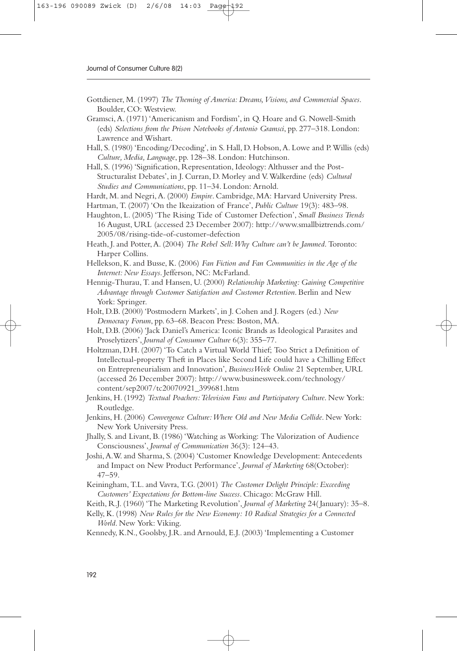- Gottdiener, M. (1997) *The Theming of America: Dreams, Visions, and Commercial Spaces.* Boulder, CO: Westview.
- Gramsci,A. (1971) 'Americanism and Fordism', in Q. Hoare and G. Nowell-Smith (eds) *Selections from the Prison Notebooks of Antonio Gramsci*, pp. 277–318. London: Lawrence and Wishart.
- Hall, S. (1980) 'Encoding/Decoding', in S. Hall, D. Hobson,A. Lowe and P.Willis (eds) *Culture, Media, Language*, pp. 128–38. London: Hutchinson.
- Hall, S. (1996) 'Signification, Representation, Ideology: Althusser and the Post-Structuralist Debates', in J. Curran, D. Morley and V.Walkerdine (eds) *Cultural Studies and Communications*, pp. 11–34. London: Arnold.
- Hardt, M. and Negri,A. (2000) *Empire*. Cambridge, MA: Harvard University Press.
- Hartman, T. (2007) 'On the Ikeaization of France', *Public Culture* 19(3): 483–98.
- Haughton, L. (2005) 'The Rising Tide of Customer Defection', *Small Business Trends* 16 August, URL (accessed 23 December 2007): http://www.smallbiztrends.com/ 2005/08/rising-tide-of-customer-defection
- Heath, J. and Potter,A. (2004) *The Rebel Sell:Why Culture can't be Jammed*. Toronto: Harper Collins.
- Hellekson, K. and Busse, K. (2006) *Fan Fiction and Fan Communities in the Age of the Internet: New Essays*. Jefferson, NC: McFarland.
- Hennig-Thurau, T. and Hansen, U. (2000) *Relationship Marketing: Gaining Competitive Advantage through Customer Satisfaction and Customer Retention*. Berlin and New York: Springer.
- Holt, D.B. (2000) 'Postmodern Markets', in J. Cohen and J. Rogers (ed.) *New Democracy Forum*, pp. 63–68. Beacon Press: Boston, MA.
- Holt, D.B. (2006) 'Jack Daniel's America: Iconic Brands as Ideological Parasites and Proselytizers', *Journal of Consumer Culture* 6(3): 355–77.
- Holtzman, D.H. (2007) 'To Catch a Virtual World Thief; Too Strict a Definition of Intellectual-property Theft in Places like Second Life could have a Chilling Effect on Entrepreneurialism and Innovation', *BusinessWeek Online* 21 September, URL (accessed 26 December 2007): http://www.businessweek.com/technology/ content/sep2007/tc20070921\_399681.htm
- Jenkins, H. (1992) *Textual Poachers: Television Fans and Participatory Culture*. New York: Routledge.
- Jenkins, H. (2006) *Convergence Culture:Where Old and New Media Collide*. New York: New York University Press.
- Jhally, S. and Livant, B. (1986) 'Watching as Working: The Valorization of Audience Consciousness', *Journal of Communication* 36(3): 124–43.
- Joshi,A.W. and Sharma, S. (2004) 'Customer Knowledge Development: Antecedents and Impact on New Product Performance', *Journal of Marketing* 68(October): 47–59.
- Keiningham, T.L. and Vavra, T.G. (2001) *The Customer Delight Principle: Exceeding Customers' Expectations for Bottom-line Success*. Chicago: McGraw Hill.
- Keith, R.J. (1960) 'The Marketing Revolution', *Journal of Marketing* 24( January): 35–8.
- Kelly, K. (1998) *New Rules for the New Economy: 10 Radical Strategies for a Connected World*. New York: Viking.
- Kennedy, K.N., Goolsby, J.R. and Arnould, E.J. (2003) 'Implementing a Customer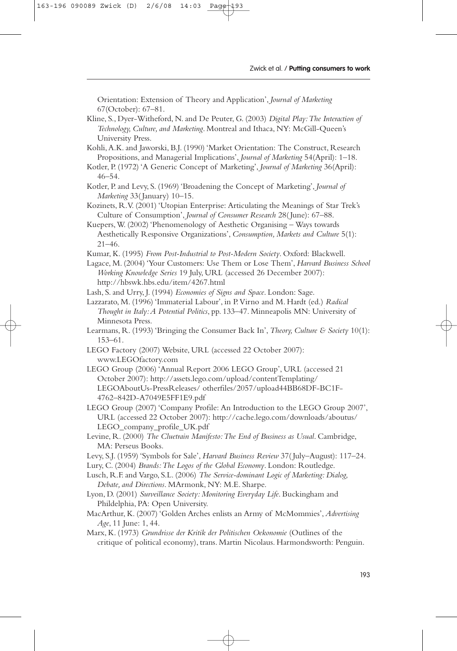Orientation: Extension of Theory and Application', *Journal of Marketing* 67(October): 67–81.

- Kline, S., Dyer-Witheford, N. and De Peuter, G. (2003) *Digital Play:The Interaction of Technology, Culture, and Marketing*. Montreal and Ithaca, NY: McGill-Queen's University Press.
- Kohli,A.K. and Jaworski, B.J. (1990) 'Market Orientation: The Construct, Research Propositions, and Managerial Implications', *Journal of Marketing* 54(April): 1–18.
- Kotler, P. (1972) 'A Generic Concept of Marketing', *Journal of Marketing* 36(April): 46–54.
- Kotler, P. and Levy, S. (1969) 'Broadening the Concept of Marketing', *Journal of Marketing* 33( January) 10–15.
- Kozinets, R.V. (2001) 'Utopian Enterprise: Articulating the Meanings of Star Trek's Culture of Consumption', *Journal of Consumer Research* 28( June): 67–88.
- Kuepers,W. (2002) 'Phenomenology of Aesthetic Organising Ways towards Aesthetically Responsive Organizations', *Consumption, Markets and Culture* 5(1): 21–46.
- Kumar, K. (1995) *From Post-Industrial to Post-Modern Society*. Oxford: Blackwell.
- Lagace, M. (2004) 'Your Customers: Use Them or Lose Them', *Harvard Business School Working Knowledge Series* 19 July, URL (accessed 26 December 2007): http://hbswk.hbs.edu/item/4267.html
- Lash, S. and Urry, J. (1994) *Economies of Signs and Space*. London: Sage.
- Lazzarato, M. (1996) 'Immaterial Labour', in P.Virno and M. Hardt (ed.) *Radical Thought in Italy:A Potential Politics*, pp. 133–47. Minneapolis MN: University of Minnesota Press.
- Learmans, R. (1993) 'Bringing the Consumer Back In', *Theory, Culture & Society* 10(1): 153–61.
- LEGO Factory (2007) Website, URL (accessed 22 October 2007): www.LEGOfactory.com
- LEGO Group (2006) 'Annual Report 2006 LEGO Group', URL (accessed 21 October 2007): http://assets.lego.com/upload/contentTemplating/ LEGOAboutUs-PressReleases/ otherfiles/2057/upload44BB68DF-BC1F-4762–842D-A7049E5FF1E9.pdf
- LEGO Group (2007) 'Company Profile: An Introduction to the LEGO Group 2007', URL (accessed 22 October 2007): http://cache.lego.com/downloads/aboutus/ LEGO\_company\_profile\_UK.pdf
- Levine, R. (2000) *The Cluetrain Manifesto:The End of Business as Usual*. Cambridge, MA: Perseus Books.
- Levy, S.J. (1959) 'Symbols for Sale', *Harvard Business Review* 37( July–August): 117–24.
- Lury, C. (2004) *Brands:The Logos of the Global Economy*. London: Routledge.
- Lusch, R.F. and Vargo, S.L. (2006) *The Service-dominant Logic of Marketing: Dialog, Debate, and Directions*. MArmonk, NY: M.E. Sharpe.
- Lyon, D. (2001) *Surveillance Society: Monitoring Everyday Life*. Buckingham and Phildelphia, PA: Open University.
- MacArthur, K. (2007) 'Golden Arches enlists an Army of McMommies', *Advertising Age*, 11 June: 1, 44.
- Marx, K. (1973) *Grundrisse der Kritik der Politischen Oekonomie* (Outlines of the critique of political economy), trans. Martin Nicolaus. Harmondsworth: Penguin.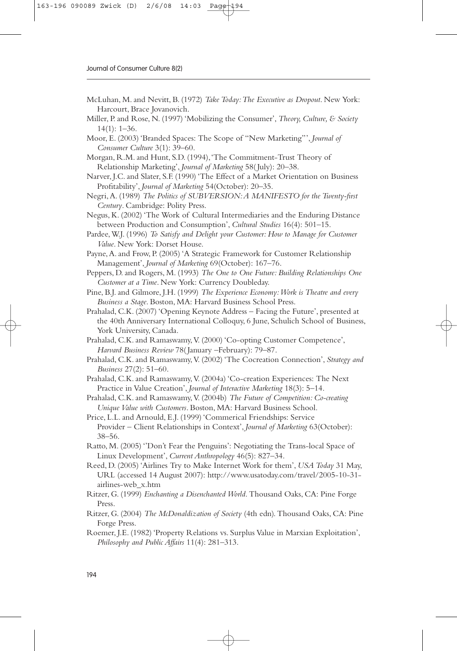- McLuhan, M. and Nevitt, B. (1972) *Take Today:The Executive as Dropout*. New York: Harcourt, Brace Jovanovich.
- Miller, P. and Rose, N. (1997) 'Mobilizing the Consumer', *Theory, Culture, & Society* 14(1): 1–36.
- Moor, E. (2003) 'Branded Spaces: The Scope of "New Marketing"', *Journal of Consumer Culture* 3(1): 39–60.
- Morgan, R.M. and Hunt, S.D. (1994),'The Commitment-Trust Theory of Relationship Marketing', *Journal of Marketing* 58( July): 20–38.
- Narver, J.C. and Slater, S.F. (1990) 'The Effect of a Market Orientation on Business Profitability', *Journal of Marketing* 54(October): 20–35.
- Negri,A. (1989) *The Politics of SUBVERSION:A MANIFESTO for the Twenty-first Century*. Cambridge: Polity Press.
- Negus, K. (2002) 'The Work of Cultural Intermediaries and the Enduring Distance between Production and Consumption', *Cultural Studies* 16(4): 501–15.
- Pardee, W.J. (1996) *To Satisfy and Delight your Customer: How to Manage for Customer Value*. New York: Dorset House.
- Payne,A. and Frow, P. (2005) 'A Strategic Framework for Customer Relationship Management', *Journal of Marketing* 69(October): 167–76.
- Peppers, D. and Rogers, M. (1993) *The One to One Future: Building Relationships One Customer at a Time*. New York: Currency Doubleday.
- Pine, B.J. and Gilmore, J.H. (1999) *The Experience Economy:Work is Theatre and every Business a Stage*. Boston, MA: Harvard Business School Press.
- Prahalad, C.K. (2007) 'Opening Keynote Address Facing the Future', presented at the 40th Anniversary International Colloquy, 6 June, Schulich School of Business, York University, Canada.
- Prahalad, C.K. and Ramaswamy, V. (2000) 'Co-opting Customer Competence', *Harvard Business Review* 78( January –February): 79–87.
- Prahalad, C.K. and Ramaswamy, V. (2002) 'The Cocreation Connection', *Strategy and Business* 27(2): 51–60.
- Prahalad, C.K. and Ramaswamy, V. (2004a) 'Co-creation Experiences: The Next Practice in Value Creation', *Journal of Interactive Marketing* 18(3): 5–14.
- Prahalad, C.K. and Ramaswamy,V. (2004b) *The Future of Competition: Co-creating Unique Value with Customers*. Boston, MA: Harvard Business School.
- Price, L.L. and Arnould, E.J. (1999) 'Commerical Friendships: Service Provider – Client Relationships in Context', *Journal of Marketing* 63(October): 38–56.
- Ratto, M. (2005) ''Don't Fear the Penguins': Negotiating the Trans-local Space of Linux Development', *Current Anthropology* 46(5): 827–34.
- Reed, D. (2005) 'Airlines Try to Make Internet Work for them', *USA Today* 31 May, URL (accessed 14 August 2007): http://www.usatoday.com/travel/2005-10-31 airlines-web\_x.htm
- Ritzer, G. (1999) *Enchanting a Disenchanted World*. Thousand Oaks, CA: Pine Forge Press.
- Ritzer, G. (2004) *The McDonaldization of Society* (4th edn). Thousand Oaks, CA: Pine Forge Press.
- Roemer, J.E. (1982) 'Property Relations vs. Surplus Value in Marxian Exploitation', *Philosophy and Public Affairs* 11(4): 281–313.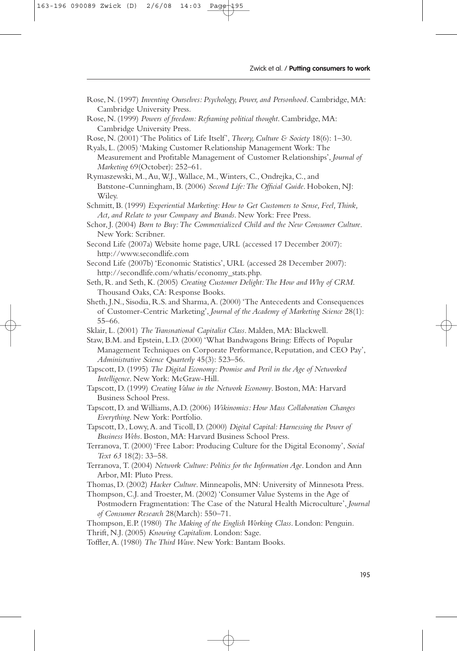- Rose, N. (1997) *Inventing Ourselves: Psychology, Power, and Personhood*. Cambridge, MA: Cambridge University Press.
- Rose, N. (1999) *Powers of freedom: Reframing political thought*. Cambridge, MA: Cambridge University Press.
- Rose, N. (2001) 'The Politics of Life Itself', *Theory, Culture & Society* 18(6): 1–30.
- Ryals, L. (2005) 'Making Customer Relationship Management Work: The Measurement and Profitable Management of Customer Relationships', *Journal of Marketing* 69(October): 252–61.
- Rymaszewski, M.,Au,W.J.,Wallace, M.,Winters, C., Ondrejka, C., and Batstone-Cunningham, B. (2006) *Second Life:The Official Guide*. Hoboken, NJ: Wiley.
- Schmitt, B. (1999) *Experiential Marketing: How to Get Customers to Sense, Feel,Think, Act, and Relate to your Company and Brands*. New York: Free Press.
- Schor, J. (2004) *Born to Buy:The Commercialized Child and the New Consumer Culture*. New York: Scribner.
- Second Life (2007a) Website home page, URL (accessed 17 December 2007): http://www.secondlife.com
- Second Life (2007b) 'Economic Statistics', URL (accessed 28 December 2007): http://secondlife.com/whatis/economy\_stats.php.
- Seth, R. and Seth, K. (2005) *Creating Customer Delight:The How and Why of CRM*. Thousand Oaks, CA: Response Books.
- Sheth, J.N., Sisodia, R.S. and Sharma,A. (2000) 'The Antecedents and Consequences of Customer-Centric Marketing', *Journal of the Academy of Marketing Science* 28(1): 55–66.
- Sklair, L. (2001) *The Transnational Capitalist Class*. Malden, MA: Blackwell.

Staw, B.M. and Epstein, L.D. (2000) 'What Bandwagons Bring: Effects of Popular Management Techniques on Corporate Performance, Reputation, and CEO Pay', *Administrative Science Quarterly* 45(3): 523–56.

- Tapscott, D. (1995) *The Digital Economy: Promise and Peril in the Age of Networked Intelligence*. New York: McGraw-Hill.
- Tapscott, D. (1999) *Creating Value in the Network Economy*. Boston, MA: Harvard Business School Press.
- Tapscott, D. and Williams,A.D. (2006) *Wikinomics: How Mass Collaboration Changes Everything*. New York: Portfolio.
- Tapscott, D., Lowy,A. and Ticoll, D. (2000) *Digital Capital: Harnessing the Power of Business Webs*. Boston, MA: Harvard Business School Press.
- Terranova, T. (2000) 'Free Labor: Producing Culture for the Digital Economy', *Social Text 63* 18(2): 33–58.
- Terranova, T. (2004) *Network Culture: Politics for the Information Age*. London and Ann Arbor, MI: Pluto Press.

Thomas, D. (2002) *Hacker Culture*. Minneapolis, MN: University of Minnesota Press.

Thompson, C.J. and Troester, M. (2002) 'Consumer Value Systems in the Age of Postmodern Fragmentation: The Case of the Natural Health Microculture', *Journal of Consumer Research* 28(March): 550–71.

Thompson, E.P. (1980) *The Making of the English Working Class*. London: Penguin. Thrift, N.J. (2005) *Knowing Capitalism*. London: Sage.

Toffler,A. (1980) *The Third Wave*. New York: Bantam Books.